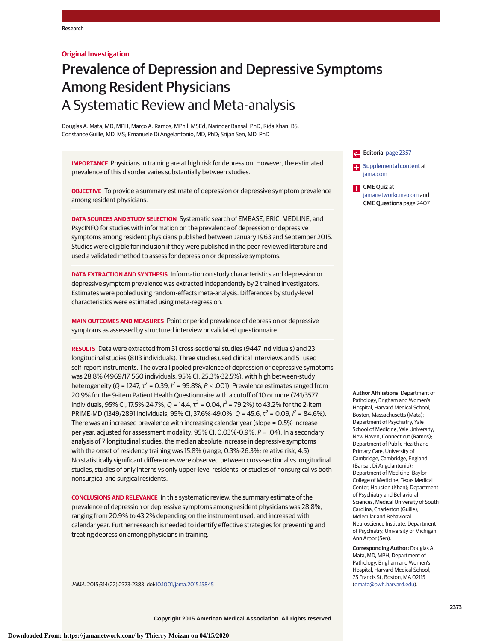# **Original Investigation**

# Prevalence of Depression and Depressive Symptoms Among Resident Physicians A Systematic Review and Meta-analysis

Douglas A. Mata, MD, MPH; Marco A. Ramos, MPhil, MSEd; Narinder Bansal, PhD; Rida Khan, BS; Constance Guille, MD, MS; Emanuele Di Angelantonio, MD, PhD; Srijan Sen, MD, PhD

**IMPORTANCE** Physicians in training are at high risk for depression. However, the estimated prevalence of this disorder varies substantially between studies.

**OBJECTIVE** To provide a summary estimate of depression or depressive symptom prevalence among resident physicians.

**DATA SOURCES AND STUDY SELECTION** Systematic search of EMBASE, ERIC, MEDLINE, and PsycINFO for studies with information on the prevalence of depression or depressive symptoms among resident physicians published between January 1963 and September 2015. Studies were eligible for inclusion if they were published in the peer-reviewed literature and used a validated method to assess for depression or depressive symptoms.

**DATA EXTRACTION AND SYNTHESIS** Information on study characteristics and depression or depressive symptom prevalence was extracted independently by 2 trained investigators. Estimates were pooled using random-effects meta-analysis. Differences by study-level characteristics were estimated using meta-regression.

**MAIN OUTCOMES AND MEASURES** Point or period prevalence of depression or depressive symptoms as assessed by structured interview or validated questionnaire.

**RESULTS** Data were extracted from 31 cross-sectional studies (9447 individuals) and 23 longitudinal studies (8113 individuals). Three studies used clinical interviews and 51 used self-report instruments. The overall pooled prevalence of depression or depressive symptoms was 28.8% (4969/17 560 individuals, 95% CI, 25.3%-32.5%), with high between-study heterogeneity (Q = 1247,  $\tau^2$  = 0.39,  $l^2$  = 95.8%, P < .001). Prevalence estimates ranged from 20.9% for the 9-item Patient Health Questionnaire with a cutoff of 10 or more (741/3577 individuals, 95% CI, 17.5%-24.7%, Q = 14.4,  $\tau^2$  = 0.04,  $l^2$  = 79.2%) to 43.2% for the 2-item PRIME-MD (1349/2891 individuals, 95% CI, 37.6%-49.0%, Q = 45.6,  $\tau^2$  = 0.09,  $l^2$  = 84.6%). There was an increased prevalence with increasing calendar year (slope = 0.5% increase per year, adjusted for assessment modality; 95% CI, 0.03%-0.9%, P = .04). In a secondary analysis of 7 longitudinal studies, the median absolute increase in depressive symptoms with the onset of residency training was 15.8% (range, 0.3%-26.3%; relative risk, 4.5). No statistically significant differences were observed between cross-sectional vs longitudinal studies, studies of only interns vs only upper-level residents, or studies of nonsurgical vs both nonsurgical and surgical residents.

**CONCLUSIONS AND RELEVANCE** In this systematic review, the summary estimate of the prevalence of depression or depressive symptoms among resident physicians was 28.8%, ranging from 20.9% to 43.2% depending on the instrument used, and increased with calendar year. Further research is needed to identify effective strategies for preventing and treating depression among physicians in training.

JAMA. 2015;314(22):2373-2383. doi[:10.1001/jama.2015.15845](http://jama.jamanetwork.com/article.aspx?doi=10.1001/jama.2015.15845&utm_campaign=articlePDF%26utm_medium=articlePDFlink%26utm_source=articlePDF%26utm_content=jama.2015.15845)

Editorial [page 2357](http://jama.jamanetwork.com/article.aspx?doi=10.1001/jama.2015.15408&utm_campaign=articlePDF%26utm_medium=articlePDFlink%26utm_source=articlePDF%26utm_content=jama.2015.15845) **Examplemental content at** [jama.com](http://www.jama.com/?utm_campaign=articlePDF%26utm_medium=articlePDFlink%26utm_source=articlePDF%26utm_content=jama.2015.15845) CME Quiz at

[jamanetworkcme.com](http://www.jamanetworkcme.com/?utm_campaign=articlePDF%26utm_medium=articlePDFlink%26utm_source=articlePDF%26utm_content=jama.2015.15845) and CME Questions page 2407

**Author Affiliations:** Department of Pathology, Brigham and Women's Hospital, Harvard Medical School, Boston, Massachusetts (Mata); Department of Psychiatry, Yale School of Medicine, Yale University, New Haven, Connecticut (Ramos); Department of Public Health and Primary Care, University of Cambridge, Cambridge, England (Bansal, Di Angelantonio); Department of Medicine, Baylor College of Medicine, Texas Medical Center, Houston (Khan); Department of Psychiatry and Behavioral Sciences, Medical University of South Carolina, Charleston (Guille); Molecular and Behavioral Neuroscience Institute, Department of Psychiatry, University of Michigan, Ann Arbor (Sen).

**Corresponding Author:** Douglas A. Mata, MD, MPH, Department of Pathology, Brigham and Women's Hospital, Harvard Medical School, 75 Francis St, Boston, MA 02115 [\(dmata@bwh.harvard.edu\)](mailto:dmata@bwh.harvard.edu).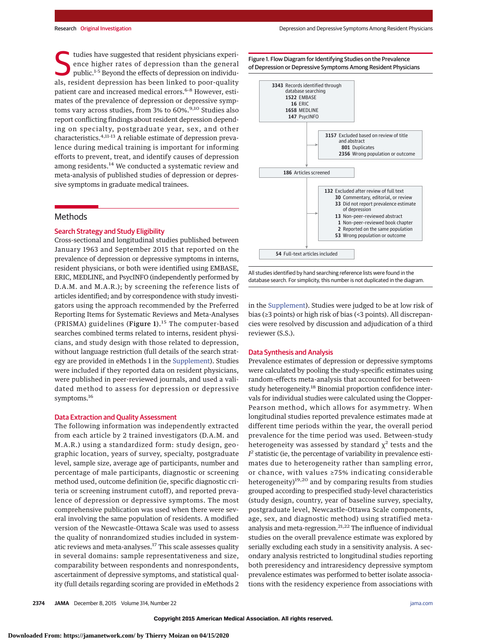tudies have suggested that resident physicians experience higher rates of depression than the general public.<sup>1-5</sup> Beyond the effects of depression on individuence higher rates of depression than the general als, resident depression has been linked to poor-quality patient care and increased medical errors.<sup>6-8</sup> However, estimates of the prevalence of depression or depressive symptoms vary across studies, from 3% to 60%.<sup>9,10</sup> Studies also report conflicting findings about resident depression depending on specialty, postgraduate year, sex, and other characteristics.<sup>4,11-13</sup> A reliable estimate of depression prevalence during medical training is important for informing efforts to prevent, treat, and identify causes of depression among residents.<sup>14</sup> We conducted a systematic review and meta-analysis of published studies of depression or depressive symptoms in graduate medical trainees.

# **Methods**

## Search Strategy and Study Eligibility

Cross-sectional and longitudinal studies published between January 1963 and September 2015 that reported on the prevalence of depression or depressive symptoms in interns, resident physicians, or both were identified using EMBASE, ERIC, MEDLINE, and PsycINFO (independently performed by D.A.M. and M.A.R.); by screening the reference lists of articles identified; and by correspondence with study investigators using the approach recommended by the Preferred Reporting Items for Systematic Reviews and Meta-Analyses (PRISMA) guidelines (Figure 1). $15$  The computer-based searches combined terms related to interns, resident physicians, and study design with those related to depression, without language restriction (full details of the search strategy are provided in eMethods 1 in the [Supplement\)](http://jama.jamanetwork.com/article.aspx?doi=10.1001/jama.2015.15845&utm_campaign=articlePDF%26utm_medium=articlePDFlink%26utm_source=articlePDF%26utm_content=jama.2015.15845). Studies were included if they reported data on resident physicians, were published in peer-reviewed journals, and used a validated method to assess for depression or depressive symptoms.<sup>16</sup>

## Data Extraction and Quality Assessment

The following information was independently extracted from each article by 2 trained investigators (D.A.M. and M.A.R.) using a standardized form: study design, geographic location, years of survey, specialty, postgraduate level, sample size, average age of participants, number and percentage of male participants, diagnostic or screening method used, outcome definition (ie, specific diagnostic criteria or screening instrument cutoff), and reported prevalence of depression or depressive symptoms. The most comprehensive publication was used when there were several involving the same population of residents. A modified version of the Newcastle-Ottawa Scale was used to assess the quality of nonrandomized studies included in systematic reviews and meta-analyses.<sup>17</sup> This scale assesses quality in several domains: sample representativeness and size, comparability between respondents and nonrespondents, ascertainment of depressive symptoms, and statistical quality (full details regarding scoring are provided in eMethods 2



Figure 1. Flow Diagram for Identifying Studies on the Prevalence



in the [Supplement\)](http://jama.jamanetwork.com/article.aspx?doi=10.1001/jama.2015.15845&utm_campaign=articlePDF%26utm_medium=articlePDFlink%26utm_source=articlePDF%26utm_content=jama.2015.15845). Studies were judged to be at low risk of bias (≥3 points) or high risk of bias (<3 points). All discrepancies were resolved by discussion and adjudication of a third reviewer (S.S.).

#### Data Synthesis and Analysis

Prevalence estimates of depression or depressive symptoms were calculated by pooling the study-specific estimates using random-effects meta-analysis that accounted for betweenstudy heterogeneity.<sup>18</sup> Binomial proportion confidence intervals for individual studies were calculated using the Clopper-Pearson method, which allows for asymmetry. When longitudinal studies reported prevalence estimates made at different time periods within the year, the overall period prevalence for the time period was used. Between-study heterogeneity was assessed by standard  $\chi^2$  tests and the *I <sup>2</sup>* statistic (ie, the percentage of variability in prevalence estimates due to heterogeneity rather than sampling error, or chance, with values ≥75% indicating considerable heterogeneity)<sup>19,20</sup> and by comparing results from studies grouped according to prespecified study-level characteristics (study design, country, year of baseline survey, specialty, postgraduate level, Newcastle-Ottawa Scale components, age, sex, and diagnostic method) using stratified metaanalysis and meta-regression.21,22 The influence of individual studies on the overall prevalence estimate was explored by serially excluding each study in a sensitivity analysis. A secondary analysis restricted to longitudinal studies reporting both preresidency and intraresidency depressive symptom prevalence estimates was performed to better isolate associations with the residency experience from associations with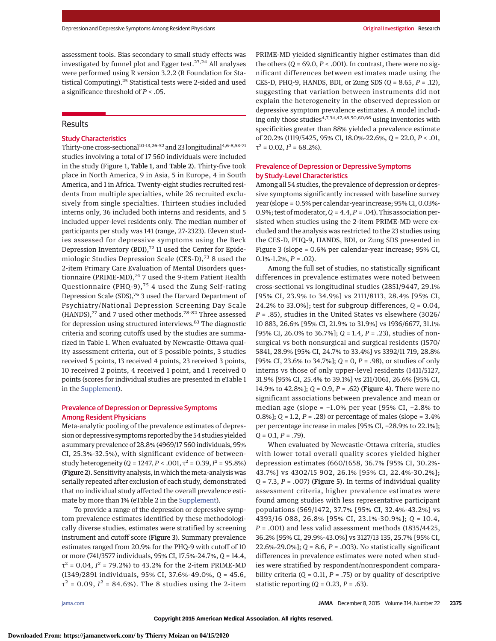assessment tools. Bias secondary to small study effects was investigated by funnel plot and Egger test. $23,24$  All analyses were performed using R version 3.2.2 (R Foundation for Statistical Computing).25 Statistical tests were 2-sided and used a significance threshold of *P* < .05.

# **Results**

# Study Characteristics

Thirty-one cross-sectional<sup>10-13,26-52</sup> and 23 longitudinal<sup>4,6-8,53-71</sup> studies involving a total of 17 560 individuals were included in the study (Figure 1, Table 1, and Table 2). Thirty-five took place in North America, 9 in Asia, 5 in Europe, 4 in South America, and 1 in Africa. Twenty-eight studies recruited residents from multiple specialties, while 26 recruited exclusively from single specialties. Thirteen studies included interns only, 36 included both interns and residents, and 5 included upper-level residents only. The median number of participants per study was 141 (range, 27-2323). Eleven studies assessed for depressive symptoms using the Beck Depression Inventory (BDI),<sup>72</sup> 11 used the Center for Epidemiologic Studies Depression Scale (CES-D), $73$  8 used the 2-item Primary Care Evaluation of Mental Disorders questionnaire (PRIME-MD), $^{74}$  7 used the 9-item Patient Health Questionnaire (PHQ-9), $^{75}$  4 used the Zung Self-rating Depression Scale (SDS),<sup>76</sup> 3 used the Harvard Department of Psychiatry/National Depression Screening Day Scale (HANDS),<sup>77</sup> and 7 used other methods.<sup>78-82</sup> Three assessed for depression using structured interviews.<sup>83</sup> The diagnostic criteria and scoring cutoffs used by the studies are summarized in Table 1. When evaluated by Newcastle-Ottawa quality assessment criteria, out of 5 possible points, 3 studies received 5 points, 13 received 4 points, 23 received 3 points, 10 received 2 points, 4 received 1 point, and 1 received 0 points (scores for individual studies are presented in eTable 1 in the [Supplement\)](http://jama.jamanetwork.com/article.aspx?doi=10.1001/jama.2015.15845&utm_campaign=articlePDF%26utm_medium=articlePDFlink%26utm_source=articlePDF%26utm_content=jama.2015.15845).

# Prevalence of Depression or Depressive Symptoms Among Resident Physicians

Meta-analytic pooling of the prevalence estimates of depression or depressive symptoms reported by the 54 studies yielded a summary prevalence of 28.8% (4969/17 560 individuals, 95% CI, 25.3%-32.5%), with significant evidence of betweenstudy heterogeneity ( $Q = 1247, P < .001, \tau^2 = 0.39, I^2 = 95.8\%)$ (Figure 2). Sensitivity analysis, in which themeta-analysis was serially repeated after exclusion of each study, demonstrated that no individual study affected the overall prevalence estimate by more than 1% (eTable 2 in the [Supplement\)](http://jama.jamanetwork.com/article.aspx?doi=10.1001/jama.2015.15845&utm_campaign=articlePDF%26utm_medium=articlePDFlink%26utm_source=articlePDF%26utm_content=jama.2015.15845).

To provide a range of the depression or depressive symptom prevalence estimates identified by these methodologically diverse studies, estimates were stratified by screening instrument and cutoff score (Figure 3). Summary prevalence estimates ranged from 20.9% for the PHQ-9 with cutoff of 10 or more (741/3577 individuals, 95% CI, 17.5%-24.7%, *Q* = 14.4,  $\tau^2$  = 0.04,  $I^2$  = 79.2%) to 43.2% for the 2-item PRIME-MD (1349/2891 individuals, 95% CI, 37.6%-49.0%, *Q* = 45.6,  $\tau^2$  = 0.09,  $I^2$  = 84.6%). The 8 studies using the 2-item

PRIME-MD yielded significantly higher estimates than did the others  $(Q = 69.0, P < .001)$ . In contrast, there were no significant differences between estimates made using the CES-D, PHQ-9, HANDS, BDI, or Zung SDS (*Q* = 8.65, *P* = .12), suggesting that variation between instruments did not explain the heterogeneity in the observed depression or depressive symptom prevalence estimates. A model including only those studies<sup>4,7,34,47,48,50,60,66</sup> using inventories with specificities greater than 88% yielded a prevalence estimate of 20.2% (1119/5425, 95% CI, 18.0%-22.6%, *Q* = 22.0, *P* < .01,  $\tau^2$  = 0.02,  $I^2$  = 68.2%).

# Prevalence of Depression or Depressive Symptoms by Study-Level Characteristics

Among all 54 studies, the prevalence of depression or depressive symptoms significantly increased with baseline survey year (slope = 0.5% per calendar-year increase; 95% CI, 0.03%-0.9%; test of moderator,  $Q = 4.4$ ,  $P = .04$ ). This association persisted when studies using the 2-item PRIME-MD were excluded and the analysis was restricted to the 23 studies using the CES-D, PHQ-9, HANDS, BDI, or Zung SDS presented in Figure 3 (slope = 0.6% per calendar-year increase; 95% CI,  $0.1\% -1.2\%, P = .02$ .

Among the full set of studies, no statistically significant differences in prevalence estimates were noted between cross-sectional vs longitudinal studies (2851/9447, 29.1% [95% CI, 23.9% to 34.9%] vs 2111/8113, 28.4% [95% CI, 24.2% to 33.0%]; test for subgroup differences, *Q* = 0.04, *P* = .85), studies in the United States vs elsewhere (3026/ 10 883, 26.6% [95% CI, 21.9% to 31.9%] vs 1936/6677, 31.1% [95% CI, 26.0% to 36.7%]; *Q* = 1.4, *P* = .23), studies of nonsurgical vs both nonsurgical and surgical residents (1570/ 5841, 28.9% [95% CI, 24.7% to 33.4%] vs 3392/11 719, 28.8% [95% CI, 23.6% to 34.7%]; *Q* = 0, *P* = .98), or studies of only interns vs those of only upper-level residents (1411/5127, 31.9% [95% CI, 25.4% to 39.1%] vs 211/1061, 26.6% [95% CI, 14.9% to 42.8%]; *Q* = 0.9, *P* = .62) (Figure 4). There were no significant associations between prevalence and mean or median age (slope = −1.0% per year [95% CI, −2.8% to 0.8%]; *Q* = 1.2, *P* = .28) or percentage of males (slope = 3.4% per percentage increase in males [95% CI, −28.9% to 22.1%]; *Q* = 0.1, *P* = .79).

When evaluated by Newcastle-Ottawa criteria, studies with lower total overall quality scores yielded higher depression estimates (660/1658, 36.7% [95% CI, 30.2%- 43.7%] vs 4302/15 902, 26.1% [95% CI, 22.4%-30.2%]; *Q* = 7.3, *P* = .007) (Figure 5). In terms of individual quality assessment criteria, higher prevalence estimates were found among studies with less representative participant populations (569/1472, 37.7% [95% CI, 32.4%-43.2%] vs 4393/16 088, 26.8% [95% CI, 23.1%-30.9%]; *Q* = 10.4, *P* = .001) and less valid assessment methods (1835/4425, 36.2% [95% CI, 29.9%-43.0%] vs 3127/13 135, 25.7% [95% CI, 22.6%-29.0%]; *Q* = 8.6, *P* = .003). No statistically significant differences in prevalence estimates were noted when studies were stratified by respondent/nonrespondent comparability criteria ( $Q = 0.11$ ,  $P = .75$ ) or by quality of descriptive statistic reporting (*Q* = 0.23, *P* = .63).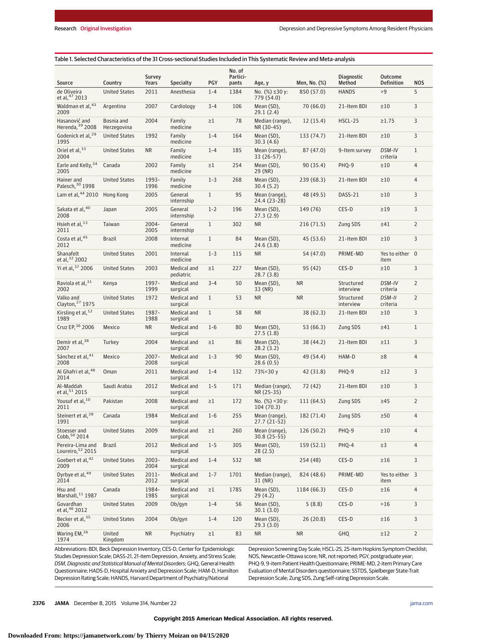| No. of<br>Partici-<br>Survey<br><b>Diagnostic</b><br><b>Outcome</b><br>PGY<br>Years<br><b>Specialty</b><br>Men, No. (%)<br>Method<br><b>Definition</b><br><b>NOS</b><br>Source<br>Country<br>pants<br>Age, y<br>de Oliveira<br><b>United States</b><br>2011<br>$1 - 4$<br>1384<br>No. $(%$ (%) ≤30 y:<br>850 (57.0)<br><b>HANDS</b><br>>9<br>5<br>Anesthesia<br>et al, 47 2013<br>779 (54.0)<br>Waldman et al, 43<br>2007<br>3<br>Argentina<br>Cardiology<br>$3 - 4$<br>106<br>Mean (SD),<br>70 (66.0)<br>21-Item BDI<br>$\geq 10$<br>2009<br>29.1 (2.4)<br>Bosnia and<br>78<br>3<br>Hasanović and<br>2004<br>Family<br>$\geq$ 1<br>Median (range),<br>HSCL-25<br>$\geq 1.75$<br>12 (15.4)<br>Herenda, 39 2008<br>Herzegovina<br>medicine<br>NR (30-45)<br>3<br>Godenick et al, <sup>29</sup><br><b>United States</b><br>1992<br>Family<br>$1 - 4$<br>164<br>Mean (SD),<br>133 (74.7)<br>21-Item BDI<br>$\geq 10$<br>1995<br>medicine<br>30.3 (4.6)<br>Oriel et al, 33<br><b>United States</b><br><b>NR</b><br>$1 - 4$<br>185<br>Mean (range),<br>87 (47.0)<br>9-Item survey<br>DSM-IV<br>$\mathbf{1}$<br>Family<br>2004<br>medicine<br>33 (26-57)<br>criteria<br>Earle and Kelly, 34<br>2002<br>254<br>Canada<br>Family<br>$\geq$ 1<br>Mean (SD),<br>90 (35.4)<br>PHQ-9<br>$\geq 10$<br>4<br>2005<br>medicine<br>29 (NR)<br>1993-<br>$1 - 3$<br>$\overline{4}$<br>Hainer and<br><b>United States</b><br>268<br>Mean (SD),<br>239 (68.3)<br>21-Item BDI<br>Family<br>$\geq 10$<br>Palesch, 30 1998<br>1996<br>medicine<br>30.4(5.2)<br>Lam et al, 44 2010<br>2005<br>$\mathbf{1}$<br>95<br>DASS-21<br>3<br>Hong Kong<br>General<br>Mean (range),<br>48 (49.5)<br>$\geq 10$<br>internship<br>24.4 (23-28)<br>3<br>Sakata et al, 40<br>2005<br>$1 - 2$<br>CES-D<br>General<br>196<br>Mean (SD),<br>149 (76)<br>$\geq$ 19<br>Japan<br>2008<br>internship<br>27.3(2.9)<br>Hsieh et al, $13$<br>2004-<br>$\mathbf{1}$<br>302<br>$\overline{2}$<br>General<br><b>NR</b><br>216(71.5)<br>Zung SDS<br>$\geq 41$<br>Taiwan<br>2011<br>2005<br>internship<br>Costa et al, 45<br>3<br>$\mathbf{1}$<br>84<br><b>Brazil</b><br>2008<br>Internal<br>Mean (SD),<br>45(53.6)<br>21-Item BDI<br>$\geq 10$<br>2012<br>medicine<br>24.6(3.8)<br>Shanafelt<br>$1 - 3$<br>Yes to either 0<br><b>United States</b><br>2001<br>Internal<br>115<br><b>NR</b><br>54 (47.0)<br>PRIME-MD<br>et al, 32 2002<br>medicine<br>item<br>Yi et al. <sup>37</sup> 2006<br><b>United States</b><br>CES-D<br>3<br>2003<br>Medical and<br>$\geq$ 1<br>227<br>Mean (SD),<br>95 (42)<br>$\geq 10$<br>28.7(3.8)<br>pediatric<br>Raviola et al, 31<br>1997-<br>$\overline{2}$<br>Medical and<br>$3 - 4$<br>50<br>Mean (SD),<br><b>NR</b><br>DSM-IV<br>Kenya<br>Structured<br>2002<br>1999<br>interview<br>criteria<br>surgical<br>33 (NR)<br>Valko and<br>1972<br>$\mathbf{1}$<br><b>United States</b><br>Medical and<br>53<br><b>NR</b><br><b>NR</b><br>Structured<br>DSM-II<br>$\overline{2}$<br>Clayton, 27 1975<br>interview<br>criteria<br>surgical<br>Kirsling et al, $^{12}$<br>1987-<br><b>United States</b><br>Medical and<br>$\mathbf{1}$<br>58<br><b>NR</b><br>38(62.3)<br>3<br>21-Item BDI<br>$\geq 10$<br>1989<br>1988<br>surgical<br>Cruz EP, 36 2006<br>Mexico<br><b>NR</b><br>Medical and<br>$1 - 6$<br>80<br>Mean (SD),<br>53 (66.3)<br>Zung SDS<br>$\geq 41$<br>$\mathbf{1}$<br>surgical<br>27.5(1.8)<br>Demir et al, 38<br>3<br>Turkey<br>2004<br>Medical and<br>$\geq$ 1<br>86<br>Mean (SD),<br>38 (44.2)<br>21-Item BDI<br>$\geq$ 11<br>2007<br>surgical<br>28.2(3.2)<br>Sánchez et al, 41<br>HAM-D<br>$\overline{4}$<br>Mexico<br>$2007 -$<br>Medical and<br>$1 - 3$<br>90<br>Mean (SD),<br>49 (54.4)<br>$\geq 8$<br>2008<br>2008<br>28.6(0.5)<br>surgical<br>Al Ghafri et al, 48<br>2011<br>3<br>Medical and<br>$1 - 4$<br>132<br>73%<30y<br>42 (31.8)<br>PHQ-9<br>$\geq$ 12<br>Oman<br>2014<br>surgical<br>Saudi Arabia<br>2012<br>3<br>Al-Maddah<br>Medical and<br>$1 - 5$<br>171<br>Median (range),<br>72 (42)<br>21-Item BDI<br>$\geq 10$<br>et al, 51 2015<br>NR (25-35)<br>surgical<br>Yousuf et al, 10<br>2008<br>172<br>No. (%) <30 y:<br>$\overline{2}$<br>Pakistan<br>Medical and<br>$\geq$ 1<br>111(64.5)<br>Zung SDS<br>$\geq 45$<br>2011<br>104(70.3)<br>surgical<br>Steinert et al, <sup>28</sup><br>1984<br>255<br>$1 - 6$<br>Mean (range),<br>182 (71.4)<br>Zung SDS<br>$\geq 50$<br>$\overline{4}$<br>Canada<br>Medical and<br>$27.7(21-52)$<br>1991<br>surgical<br>2009<br>Medical and<br>260<br>Mean (range),<br>Stoesser and<br><b>United States</b><br>126(50.2)<br>PHQ-9<br>$\geq 10$<br>$\overline{4}$<br>$\geq$ 1<br>Cobb, 50 2014<br>surgical<br>$30.8(25-55)$<br><b>Brazil</b><br>2012<br>305<br>Pereira-Lima and<br>Medical and<br>$1 - 5$<br>Mean (SD),<br>159(52.1)<br>PHQ-4<br>$\geq$ 3<br>$\overline{4}$<br>Loureiro, $52$ 2015<br>surgical<br>28(2.5)<br>Goebert et al. <sup>42</sup><br><b>United States</b><br>2003-<br>Medical and<br>$1 - 4$<br>532<br><b>NR</b><br>CES-D<br>3<br>254 (48)<br>$\geq$ 16<br>2009<br>2004<br>surgical<br>Dyrbye et al. <sup>49</sup><br>$2011 -$<br>Yes to either 3<br><b>United States</b><br>Medical and<br>$1 - 7$<br>1701<br>Median (range),<br>824 (48.6)<br>PRIME-MD<br>2014<br>2012<br>surgical<br>31 (NR)<br>item<br>Hsu and<br>1984-<br>Medical and<br>1785<br>Mean (SD),<br>Canada<br>$\geq$ 1<br>1184 (66.3)<br>CES-D<br>$\geq 16$<br>4<br>Marshall, 11 1987<br>1985<br>surgical<br>29(4.2)<br>Govardhan<br>2009<br>56<br>CES-D<br>3<br><b>United States</b><br>Ob/gyn<br>$1 - 4$<br>Mean (SD).<br>5(8.8)<br>>16<br>et al, 46 2012<br>30.1(3.0)<br>Becker et al, 35<br>2004<br>3<br><b>United States</b><br>Ob/gyn<br>$1 - 4$<br>120<br>Mean (SD),<br>CES-D<br>$\geq$ 16<br>26 (20.8)<br>2006<br>29.3 (3.0)<br>Waring EM, 26<br><b>NR</b><br>83<br>$\overline{2}$<br>United<br>Psychiatry<br>$\geq$ 1<br><b>NR</b><br><b>NR</b><br>GHQ<br>$\geq$ 12 | Table 1. Selected Characteristics of the 31 Cross-sectional Studies Included in This Systematic Review and Meta-analysis |         |  |  |  |  |  |
|---------------------------------------------------------------------------------------------------------------------------------------------------------------------------------------------------------------------------------------------------------------------------------------------------------------------------------------------------------------------------------------------------------------------------------------------------------------------------------------------------------------------------------------------------------------------------------------------------------------------------------------------------------------------------------------------------------------------------------------------------------------------------------------------------------------------------------------------------------------------------------------------------------------------------------------------------------------------------------------------------------------------------------------------------------------------------------------------------------------------------------------------------------------------------------------------------------------------------------------------------------------------------------------------------------------------------------------------------------------------------------------------------------------------------------------------------------------------------------------------------------------------------------------------------------------------------------------------------------------------------------------------------------------------------------------------------------------------------------------------------------------------------------------------------------------------------------------------------------------------------------------------------------------------------------------------------------------------------------------------------------------------------------------------------------------------------------------------------------------------------------------------------------------------------------------------------------------------------------------------------------------------------------------------------------------------------------------------------------------------------------------------------------------------------------------------------------------------------------------------------------------------------------------------------------------------------------------------------------------------------------------------------------------------------------------------------------------------------------------------------------------------------------------------------------------------------------------------------------------------------------------------------------------------------------------------------------------------------------------------------------------------------------------------------------------------------------------------------------------------------------------------------------------------------------------------------------------------------------------------------------------------------------------------------------------------------------------------------------------------------------------------------------------------------------------------------------------------------------------------------------------------------------------------------------------------------------------------------------------------------------------------------------------------------------------------------------------------------------------------------------------------------------------------------------------------------------------------------------------------------------------------------------------------------------------------------------------------------------------------------------------------------------------------------------------------------------------------------------------------------------------------------------------------------------------------------------------------------------------------------------------------------------------------------------------------------------------------------------------------------------------------------------------------------------------------------------------------------------------------------------------------------------------------------------------------------------------------------------------------------------------------------------------------------------------------------------------------------------------------------------------------------------------------------------------------------------------------------------------------------------------------------------------------------------------------------------------------------------------------------------------------------------------------------------------------------------------------------------------------------------------------------------------------------------------------------------------------------------------------------------------------------------------------------------------------------------------------------------------------------------------------------------------------------------------------------------------------------------------------------------------------------------------------------------------------------------------------------------------------------------------------------------------------------------------------------------------------------------------------------------------------------------------------------------------------------------------------------------------------------------------------------------------|--------------------------------------------------------------------------------------------------------------------------|---------|--|--|--|--|--|
|                                                                                                                                                                                                                                                                                                                                                                                                                                                                                                                                                                                                                                                                                                                                                                                                                                                                                                                                                                                                                                                                                                                                                                                                                                                                                                                                                                                                                                                                                                                                                                                                                                                                                                                                                                                                                                                                                                                                                                                                                                                                                                                                                                                                                                                                                                                                                                                                                                                                                                                                                                                                                                                                                                                                                                                                                                                                                                                                                                                                                                                                                                                                                                                                                                                                                                                                                                                                                                                                                                                                                                                                                                                                                                                                                                                                                                                                                                                                                                                                                                                                                                                                                                                                                                                                                                                                                                                                                                                                                                                                                                                                                                                                                                                                                                                                                                                                                                                                                                                                                                                                                                                                                                                                                                                                                                                                                                                                                                                                                                                                                                                                                                                                                                                                                                                                                                                                                                               |                                                                                                                          |         |  |  |  |  |  |
|                                                                                                                                                                                                                                                                                                                                                                                                                                                                                                                                                                                                                                                                                                                                                                                                                                                                                                                                                                                                                                                                                                                                                                                                                                                                                                                                                                                                                                                                                                                                                                                                                                                                                                                                                                                                                                                                                                                                                                                                                                                                                                                                                                                                                                                                                                                                                                                                                                                                                                                                                                                                                                                                                                                                                                                                                                                                                                                                                                                                                                                                                                                                                                                                                                                                                                                                                                                                                                                                                                                                                                                                                                                                                                                                                                                                                                                                                                                                                                                                                                                                                                                                                                                                                                                                                                                                                                                                                                                                                                                                                                                                                                                                                                                                                                                                                                                                                                                                                                                                                                                                                                                                                                                                                                                                                                                                                                                                                                                                                                                                                                                                                                                                                                                                                                                                                                                                                                               |                                                                                                                          |         |  |  |  |  |  |
|                                                                                                                                                                                                                                                                                                                                                                                                                                                                                                                                                                                                                                                                                                                                                                                                                                                                                                                                                                                                                                                                                                                                                                                                                                                                                                                                                                                                                                                                                                                                                                                                                                                                                                                                                                                                                                                                                                                                                                                                                                                                                                                                                                                                                                                                                                                                                                                                                                                                                                                                                                                                                                                                                                                                                                                                                                                                                                                                                                                                                                                                                                                                                                                                                                                                                                                                                                                                                                                                                                                                                                                                                                                                                                                                                                                                                                                                                                                                                                                                                                                                                                                                                                                                                                                                                                                                                                                                                                                                                                                                                                                                                                                                                                                                                                                                                                                                                                                                                                                                                                                                                                                                                                                                                                                                                                                                                                                                                                                                                                                                                                                                                                                                                                                                                                                                                                                                                                               |                                                                                                                          |         |  |  |  |  |  |
|                                                                                                                                                                                                                                                                                                                                                                                                                                                                                                                                                                                                                                                                                                                                                                                                                                                                                                                                                                                                                                                                                                                                                                                                                                                                                                                                                                                                                                                                                                                                                                                                                                                                                                                                                                                                                                                                                                                                                                                                                                                                                                                                                                                                                                                                                                                                                                                                                                                                                                                                                                                                                                                                                                                                                                                                                                                                                                                                                                                                                                                                                                                                                                                                                                                                                                                                                                                                                                                                                                                                                                                                                                                                                                                                                                                                                                                                                                                                                                                                                                                                                                                                                                                                                                                                                                                                                                                                                                                                                                                                                                                                                                                                                                                                                                                                                                                                                                                                                                                                                                                                                                                                                                                                                                                                                                                                                                                                                                                                                                                                                                                                                                                                                                                                                                                                                                                                                                               |                                                                                                                          |         |  |  |  |  |  |
|                                                                                                                                                                                                                                                                                                                                                                                                                                                                                                                                                                                                                                                                                                                                                                                                                                                                                                                                                                                                                                                                                                                                                                                                                                                                                                                                                                                                                                                                                                                                                                                                                                                                                                                                                                                                                                                                                                                                                                                                                                                                                                                                                                                                                                                                                                                                                                                                                                                                                                                                                                                                                                                                                                                                                                                                                                                                                                                                                                                                                                                                                                                                                                                                                                                                                                                                                                                                                                                                                                                                                                                                                                                                                                                                                                                                                                                                                                                                                                                                                                                                                                                                                                                                                                                                                                                                                                                                                                                                                                                                                                                                                                                                                                                                                                                                                                                                                                                                                                                                                                                                                                                                                                                                                                                                                                                                                                                                                                                                                                                                                                                                                                                                                                                                                                                                                                                                                                               |                                                                                                                          |         |  |  |  |  |  |
|                                                                                                                                                                                                                                                                                                                                                                                                                                                                                                                                                                                                                                                                                                                                                                                                                                                                                                                                                                                                                                                                                                                                                                                                                                                                                                                                                                                                                                                                                                                                                                                                                                                                                                                                                                                                                                                                                                                                                                                                                                                                                                                                                                                                                                                                                                                                                                                                                                                                                                                                                                                                                                                                                                                                                                                                                                                                                                                                                                                                                                                                                                                                                                                                                                                                                                                                                                                                                                                                                                                                                                                                                                                                                                                                                                                                                                                                                                                                                                                                                                                                                                                                                                                                                                                                                                                                                                                                                                                                                                                                                                                                                                                                                                                                                                                                                                                                                                                                                                                                                                                                                                                                                                                                                                                                                                                                                                                                                                                                                                                                                                                                                                                                                                                                                                                                                                                                                                               |                                                                                                                          |         |  |  |  |  |  |
|                                                                                                                                                                                                                                                                                                                                                                                                                                                                                                                                                                                                                                                                                                                                                                                                                                                                                                                                                                                                                                                                                                                                                                                                                                                                                                                                                                                                                                                                                                                                                                                                                                                                                                                                                                                                                                                                                                                                                                                                                                                                                                                                                                                                                                                                                                                                                                                                                                                                                                                                                                                                                                                                                                                                                                                                                                                                                                                                                                                                                                                                                                                                                                                                                                                                                                                                                                                                                                                                                                                                                                                                                                                                                                                                                                                                                                                                                                                                                                                                                                                                                                                                                                                                                                                                                                                                                                                                                                                                                                                                                                                                                                                                                                                                                                                                                                                                                                                                                                                                                                                                                                                                                                                                                                                                                                                                                                                                                                                                                                                                                                                                                                                                                                                                                                                                                                                                                                               |                                                                                                                          |         |  |  |  |  |  |
|                                                                                                                                                                                                                                                                                                                                                                                                                                                                                                                                                                                                                                                                                                                                                                                                                                                                                                                                                                                                                                                                                                                                                                                                                                                                                                                                                                                                                                                                                                                                                                                                                                                                                                                                                                                                                                                                                                                                                                                                                                                                                                                                                                                                                                                                                                                                                                                                                                                                                                                                                                                                                                                                                                                                                                                                                                                                                                                                                                                                                                                                                                                                                                                                                                                                                                                                                                                                                                                                                                                                                                                                                                                                                                                                                                                                                                                                                                                                                                                                                                                                                                                                                                                                                                                                                                                                                                                                                                                                                                                                                                                                                                                                                                                                                                                                                                                                                                                                                                                                                                                                                                                                                                                                                                                                                                                                                                                                                                                                                                                                                                                                                                                                                                                                                                                                                                                                                                               |                                                                                                                          |         |  |  |  |  |  |
|                                                                                                                                                                                                                                                                                                                                                                                                                                                                                                                                                                                                                                                                                                                                                                                                                                                                                                                                                                                                                                                                                                                                                                                                                                                                                                                                                                                                                                                                                                                                                                                                                                                                                                                                                                                                                                                                                                                                                                                                                                                                                                                                                                                                                                                                                                                                                                                                                                                                                                                                                                                                                                                                                                                                                                                                                                                                                                                                                                                                                                                                                                                                                                                                                                                                                                                                                                                                                                                                                                                                                                                                                                                                                                                                                                                                                                                                                                                                                                                                                                                                                                                                                                                                                                                                                                                                                                                                                                                                                                                                                                                                                                                                                                                                                                                                                                                                                                                                                                                                                                                                                                                                                                                                                                                                                                                                                                                                                                                                                                                                                                                                                                                                                                                                                                                                                                                                                                               |                                                                                                                          |         |  |  |  |  |  |
|                                                                                                                                                                                                                                                                                                                                                                                                                                                                                                                                                                                                                                                                                                                                                                                                                                                                                                                                                                                                                                                                                                                                                                                                                                                                                                                                                                                                                                                                                                                                                                                                                                                                                                                                                                                                                                                                                                                                                                                                                                                                                                                                                                                                                                                                                                                                                                                                                                                                                                                                                                                                                                                                                                                                                                                                                                                                                                                                                                                                                                                                                                                                                                                                                                                                                                                                                                                                                                                                                                                                                                                                                                                                                                                                                                                                                                                                                                                                                                                                                                                                                                                                                                                                                                                                                                                                                                                                                                                                                                                                                                                                                                                                                                                                                                                                                                                                                                                                                                                                                                                                                                                                                                                                                                                                                                                                                                                                                                                                                                                                                                                                                                                                                                                                                                                                                                                                                                               |                                                                                                                          |         |  |  |  |  |  |
|                                                                                                                                                                                                                                                                                                                                                                                                                                                                                                                                                                                                                                                                                                                                                                                                                                                                                                                                                                                                                                                                                                                                                                                                                                                                                                                                                                                                                                                                                                                                                                                                                                                                                                                                                                                                                                                                                                                                                                                                                                                                                                                                                                                                                                                                                                                                                                                                                                                                                                                                                                                                                                                                                                                                                                                                                                                                                                                                                                                                                                                                                                                                                                                                                                                                                                                                                                                                                                                                                                                                                                                                                                                                                                                                                                                                                                                                                                                                                                                                                                                                                                                                                                                                                                                                                                                                                                                                                                                                                                                                                                                                                                                                                                                                                                                                                                                                                                                                                                                                                                                                                                                                                                                                                                                                                                                                                                                                                                                                                                                                                                                                                                                                                                                                                                                                                                                                                                               |                                                                                                                          |         |  |  |  |  |  |
|                                                                                                                                                                                                                                                                                                                                                                                                                                                                                                                                                                                                                                                                                                                                                                                                                                                                                                                                                                                                                                                                                                                                                                                                                                                                                                                                                                                                                                                                                                                                                                                                                                                                                                                                                                                                                                                                                                                                                                                                                                                                                                                                                                                                                                                                                                                                                                                                                                                                                                                                                                                                                                                                                                                                                                                                                                                                                                                                                                                                                                                                                                                                                                                                                                                                                                                                                                                                                                                                                                                                                                                                                                                                                                                                                                                                                                                                                                                                                                                                                                                                                                                                                                                                                                                                                                                                                                                                                                                                                                                                                                                                                                                                                                                                                                                                                                                                                                                                                                                                                                                                                                                                                                                                                                                                                                                                                                                                                                                                                                                                                                                                                                                                                                                                                                                                                                                                                                               |                                                                                                                          |         |  |  |  |  |  |
|                                                                                                                                                                                                                                                                                                                                                                                                                                                                                                                                                                                                                                                                                                                                                                                                                                                                                                                                                                                                                                                                                                                                                                                                                                                                                                                                                                                                                                                                                                                                                                                                                                                                                                                                                                                                                                                                                                                                                                                                                                                                                                                                                                                                                                                                                                                                                                                                                                                                                                                                                                                                                                                                                                                                                                                                                                                                                                                                                                                                                                                                                                                                                                                                                                                                                                                                                                                                                                                                                                                                                                                                                                                                                                                                                                                                                                                                                                                                                                                                                                                                                                                                                                                                                                                                                                                                                                                                                                                                                                                                                                                                                                                                                                                                                                                                                                                                                                                                                                                                                                                                                                                                                                                                                                                                                                                                                                                                                                                                                                                                                                                                                                                                                                                                                                                                                                                                                                               |                                                                                                                          |         |  |  |  |  |  |
|                                                                                                                                                                                                                                                                                                                                                                                                                                                                                                                                                                                                                                                                                                                                                                                                                                                                                                                                                                                                                                                                                                                                                                                                                                                                                                                                                                                                                                                                                                                                                                                                                                                                                                                                                                                                                                                                                                                                                                                                                                                                                                                                                                                                                                                                                                                                                                                                                                                                                                                                                                                                                                                                                                                                                                                                                                                                                                                                                                                                                                                                                                                                                                                                                                                                                                                                                                                                                                                                                                                                                                                                                                                                                                                                                                                                                                                                                                                                                                                                                                                                                                                                                                                                                                                                                                                                                                                                                                                                                                                                                                                                                                                                                                                                                                                                                                                                                                                                                                                                                                                                                                                                                                                                                                                                                                                                                                                                                                                                                                                                                                                                                                                                                                                                                                                                                                                                                                               |                                                                                                                          |         |  |  |  |  |  |
|                                                                                                                                                                                                                                                                                                                                                                                                                                                                                                                                                                                                                                                                                                                                                                                                                                                                                                                                                                                                                                                                                                                                                                                                                                                                                                                                                                                                                                                                                                                                                                                                                                                                                                                                                                                                                                                                                                                                                                                                                                                                                                                                                                                                                                                                                                                                                                                                                                                                                                                                                                                                                                                                                                                                                                                                                                                                                                                                                                                                                                                                                                                                                                                                                                                                                                                                                                                                                                                                                                                                                                                                                                                                                                                                                                                                                                                                                                                                                                                                                                                                                                                                                                                                                                                                                                                                                                                                                                                                                                                                                                                                                                                                                                                                                                                                                                                                                                                                                                                                                                                                                                                                                                                                                                                                                                                                                                                                                                                                                                                                                                                                                                                                                                                                                                                                                                                                                                               |                                                                                                                          |         |  |  |  |  |  |
|                                                                                                                                                                                                                                                                                                                                                                                                                                                                                                                                                                                                                                                                                                                                                                                                                                                                                                                                                                                                                                                                                                                                                                                                                                                                                                                                                                                                                                                                                                                                                                                                                                                                                                                                                                                                                                                                                                                                                                                                                                                                                                                                                                                                                                                                                                                                                                                                                                                                                                                                                                                                                                                                                                                                                                                                                                                                                                                                                                                                                                                                                                                                                                                                                                                                                                                                                                                                                                                                                                                                                                                                                                                                                                                                                                                                                                                                                                                                                                                                                                                                                                                                                                                                                                                                                                                                                                                                                                                                                                                                                                                                                                                                                                                                                                                                                                                                                                                                                                                                                                                                                                                                                                                                                                                                                                                                                                                                                                                                                                                                                                                                                                                                                                                                                                                                                                                                                                               |                                                                                                                          |         |  |  |  |  |  |
|                                                                                                                                                                                                                                                                                                                                                                                                                                                                                                                                                                                                                                                                                                                                                                                                                                                                                                                                                                                                                                                                                                                                                                                                                                                                                                                                                                                                                                                                                                                                                                                                                                                                                                                                                                                                                                                                                                                                                                                                                                                                                                                                                                                                                                                                                                                                                                                                                                                                                                                                                                                                                                                                                                                                                                                                                                                                                                                                                                                                                                                                                                                                                                                                                                                                                                                                                                                                                                                                                                                                                                                                                                                                                                                                                                                                                                                                                                                                                                                                                                                                                                                                                                                                                                                                                                                                                                                                                                                                                                                                                                                                                                                                                                                                                                                                                                                                                                                                                                                                                                                                                                                                                                                                                                                                                                                                                                                                                                                                                                                                                                                                                                                                                                                                                                                                                                                                                                               |                                                                                                                          |         |  |  |  |  |  |
|                                                                                                                                                                                                                                                                                                                                                                                                                                                                                                                                                                                                                                                                                                                                                                                                                                                                                                                                                                                                                                                                                                                                                                                                                                                                                                                                                                                                                                                                                                                                                                                                                                                                                                                                                                                                                                                                                                                                                                                                                                                                                                                                                                                                                                                                                                                                                                                                                                                                                                                                                                                                                                                                                                                                                                                                                                                                                                                                                                                                                                                                                                                                                                                                                                                                                                                                                                                                                                                                                                                                                                                                                                                                                                                                                                                                                                                                                                                                                                                                                                                                                                                                                                                                                                                                                                                                                                                                                                                                                                                                                                                                                                                                                                                                                                                                                                                                                                                                                                                                                                                                                                                                                                                                                                                                                                                                                                                                                                                                                                                                                                                                                                                                                                                                                                                                                                                                                                               |                                                                                                                          |         |  |  |  |  |  |
|                                                                                                                                                                                                                                                                                                                                                                                                                                                                                                                                                                                                                                                                                                                                                                                                                                                                                                                                                                                                                                                                                                                                                                                                                                                                                                                                                                                                                                                                                                                                                                                                                                                                                                                                                                                                                                                                                                                                                                                                                                                                                                                                                                                                                                                                                                                                                                                                                                                                                                                                                                                                                                                                                                                                                                                                                                                                                                                                                                                                                                                                                                                                                                                                                                                                                                                                                                                                                                                                                                                                                                                                                                                                                                                                                                                                                                                                                                                                                                                                                                                                                                                                                                                                                                                                                                                                                                                                                                                                                                                                                                                                                                                                                                                                                                                                                                                                                                                                                                                                                                                                                                                                                                                                                                                                                                                                                                                                                                                                                                                                                                                                                                                                                                                                                                                                                                                                                                               |                                                                                                                          |         |  |  |  |  |  |
|                                                                                                                                                                                                                                                                                                                                                                                                                                                                                                                                                                                                                                                                                                                                                                                                                                                                                                                                                                                                                                                                                                                                                                                                                                                                                                                                                                                                                                                                                                                                                                                                                                                                                                                                                                                                                                                                                                                                                                                                                                                                                                                                                                                                                                                                                                                                                                                                                                                                                                                                                                                                                                                                                                                                                                                                                                                                                                                                                                                                                                                                                                                                                                                                                                                                                                                                                                                                                                                                                                                                                                                                                                                                                                                                                                                                                                                                                                                                                                                                                                                                                                                                                                                                                                                                                                                                                                                                                                                                                                                                                                                                                                                                                                                                                                                                                                                                                                                                                                                                                                                                                                                                                                                                                                                                                                                                                                                                                                                                                                                                                                                                                                                                                                                                                                                                                                                                                                               |                                                                                                                          |         |  |  |  |  |  |
|                                                                                                                                                                                                                                                                                                                                                                                                                                                                                                                                                                                                                                                                                                                                                                                                                                                                                                                                                                                                                                                                                                                                                                                                                                                                                                                                                                                                                                                                                                                                                                                                                                                                                                                                                                                                                                                                                                                                                                                                                                                                                                                                                                                                                                                                                                                                                                                                                                                                                                                                                                                                                                                                                                                                                                                                                                                                                                                                                                                                                                                                                                                                                                                                                                                                                                                                                                                                                                                                                                                                                                                                                                                                                                                                                                                                                                                                                                                                                                                                                                                                                                                                                                                                                                                                                                                                                                                                                                                                                                                                                                                                                                                                                                                                                                                                                                                                                                                                                                                                                                                                                                                                                                                                                                                                                                                                                                                                                                                                                                                                                                                                                                                                                                                                                                                                                                                                                                               |                                                                                                                          |         |  |  |  |  |  |
|                                                                                                                                                                                                                                                                                                                                                                                                                                                                                                                                                                                                                                                                                                                                                                                                                                                                                                                                                                                                                                                                                                                                                                                                                                                                                                                                                                                                                                                                                                                                                                                                                                                                                                                                                                                                                                                                                                                                                                                                                                                                                                                                                                                                                                                                                                                                                                                                                                                                                                                                                                                                                                                                                                                                                                                                                                                                                                                                                                                                                                                                                                                                                                                                                                                                                                                                                                                                                                                                                                                                                                                                                                                                                                                                                                                                                                                                                                                                                                                                                                                                                                                                                                                                                                                                                                                                                                                                                                                                                                                                                                                                                                                                                                                                                                                                                                                                                                                                                                                                                                                                                                                                                                                                                                                                                                                                                                                                                                                                                                                                                                                                                                                                                                                                                                                                                                                                                                               |                                                                                                                          |         |  |  |  |  |  |
|                                                                                                                                                                                                                                                                                                                                                                                                                                                                                                                                                                                                                                                                                                                                                                                                                                                                                                                                                                                                                                                                                                                                                                                                                                                                                                                                                                                                                                                                                                                                                                                                                                                                                                                                                                                                                                                                                                                                                                                                                                                                                                                                                                                                                                                                                                                                                                                                                                                                                                                                                                                                                                                                                                                                                                                                                                                                                                                                                                                                                                                                                                                                                                                                                                                                                                                                                                                                                                                                                                                                                                                                                                                                                                                                                                                                                                                                                                                                                                                                                                                                                                                                                                                                                                                                                                                                                                                                                                                                                                                                                                                                                                                                                                                                                                                                                                                                                                                                                                                                                                                                                                                                                                                                                                                                                                                                                                                                                                                                                                                                                                                                                                                                                                                                                                                                                                                                                                               |                                                                                                                          |         |  |  |  |  |  |
|                                                                                                                                                                                                                                                                                                                                                                                                                                                                                                                                                                                                                                                                                                                                                                                                                                                                                                                                                                                                                                                                                                                                                                                                                                                                                                                                                                                                                                                                                                                                                                                                                                                                                                                                                                                                                                                                                                                                                                                                                                                                                                                                                                                                                                                                                                                                                                                                                                                                                                                                                                                                                                                                                                                                                                                                                                                                                                                                                                                                                                                                                                                                                                                                                                                                                                                                                                                                                                                                                                                                                                                                                                                                                                                                                                                                                                                                                                                                                                                                                                                                                                                                                                                                                                                                                                                                                                                                                                                                                                                                                                                                                                                                                                                                                                                                                                                                                                                                                                                                                                                                                                                                                                                                                                                                                                                                                                                                                                                                                                                                                                                                                                                                                                                                                                                                                                                                                                               |                                                                                                                          |         |  |  |  |  |  |
|                                                                                                                                                                                                                                                                                                                                                                                                                                                                                                                                                                                                                                                                                                                                                                                                                                                                                                                                                                                                                                                                                                                                                                                                                                                                                                                                                                                                                                                                                                                                                                                                                                                                                                                                                                                                                                                                                                                                                                                                                                                                                                                                                                                                                                                                                                                                                                                                                                                                                                                                                                                                                                                                                                                                                                                                                                                                                                                                                                                                                                                                                                                                                                                                                                                                                                                                                                                                                                                                                                                                                                                                                                                                                                                                                                                                                                                                                                                                                                                                                                                                                                                                                                                                                                                                                                                                                                                                                                                                                                                                                                                                                                                                                                                                                                                                                                                                                                                                                                                                                                                                                                                                                                                                                                                                                                                                                                                                                                                                                                                                                                                                                                                                                                                                                                                                                                                                                                               |                                                                                                                          |         |  |  |  |  |  |
|                                                                                                                                                                                                                                                                                                                                                                                                                                                                                                                                                                                                                                                                                                                                                                                                                                                                                                                                                                                                                                                                                                                                                                                                                                                                                                                                                                                                                                                                                                                                                                                                                                                                                                                                                                                                                                                                                                                                                                                                                                                                                                                                                                                                                                                                                                                                                                                                                                                                                                                                                                                                                                                                                                                                                                                                                                                                                                                                                                                                                                                                                                                                                                                                                                                                                                                                                                                                                                                                                                                                                                                                                                                                                                                                                                                                                                                                                                                                                                                                                                                                                                                                                                                                                                                                                                                                                                                                                                                                                                                                                                                                                                                                                                                                                                                                                                                                                                                                                                                                                                                                                                                                                                                                                                                                                                                                                                                                                                                                                                                                                                                                                                                                                                                                                                                                                                                                                                               |                                                                                                                          |         |  |  |  |  |  |
|                                                                                                                                                                                                                                                                                                                                                                                                                                                                                                                                                                                                                                                                                                                                                                                                                                                                                                                                                                                                                                                                                                                                                                                                                                                                                                                                                                                                                                                                                                                                                                                                                                                                                                                                                                                                                                                                                                                                                                                                                                                                                                                                                                                                                                                                                                                                                                                                                                                                                                                                                                                                                                                                                                                                                                                                                                                                                                                                                                                                                                                                                                                                                                                                                                                                                                                                                                                                                                                                                                                                                                                                                                                                                                                                                                                                                                                                                                                                                                                                                                                                                                                                                                                                                                                                                                                                                                                                                                                                                                                                                                                                                                                                                                                                                                                                                                                                                                                                                                                                                                                                                                                                                                                                                                                                                                                                                                                                                                                                                                                                                                                                                                                                                                                                                                                                                                                                                                               |                                                                                                                          |         |  |  |  |  |  |
|                                                                                                                                                                                                                                                                                                                                                                                                                                                                                                                                                                                                                                                                                                                                                                                                                                                                                                                                                                                                                                                                                                                                                                                                                                                                                                                                                                                                                                                                                                                                                                                                                                                                                                                                                                                                                                                                                                                                                                                                                                                                                                                                                                                                                                                                                                                                                                                                                                                                                                                                                                                                                                                                                                                                                                                                                                                                                                                                                                                                                                                                                                                                                                                                                                                                                                                                                                                                                                                                                                                                                                                                                                                                                                                                                                                                                                                                                                                                                                                                                                                                                                                                                                                                                                                                                                                                                                                                                                                                                                                                                                                                                                                                                                                                                                                                                                                                                                                                                                                                                                                                                                                                                                                                                                                                                                                                                                                                                                                                                                                                                                                                                                                                                                                                                                                                                                                                                                               |                                                                                                                          |         |  |  |  |  |  |
|                                                                                                                                                                                                                                                                                                                                                                                                                                                                                                                                                                                                                                                                                                                                                                                                                                                                                                                                                                                                                                                                                                                                                                                                                                                                                                                                                                                                                                                                                                                                                                                                                                                                                                                                                                                                                                                                                                                                                                                                                                                                                                                                                                                                                                                                                                                                                                                                                                                                                                                                                                                                                                                                                                                                                                                                                                                                                                                                                                                                                                                                                                                                                                                                                                                                                                                                                                                                                                                                                                                                                                                                                                                                                                                                                                                                                                                                                                                                                                                                                                                                                                                                                                                                                                                                                                                                                                                                                                                                                                                                                                                                                                                                                                                                                                                                                                                                                                                                                                                                                                                                                                                                                                                                                                                                                                                                                                                                                                                                                                                                                                                                                                                                                                                                                                                                                                                                                                               |                                                                                                                          |         |  |  |  |  |  |
|                                                                                                                                                                                                                                                                                                                                                                                                                                                                                                                                                                                                                                                                                                                                                                                                                                                                                                                                                                                                                                                                                                                                                                                                                                                                                                                                                                                                                                                                                                                                                                                                                                                                                                                                                                                                                                                                                                                                                                                                                                                                                                                                                                                                                                                                                                                                                                                                                                                                                                                                                                                                                                                                                                                                                                                                                                                                                                                                                                                                                                                                                                                                                                                                                                                                                                                                                                                                                                                                                                                                                                                                                                                                                                                                                                                                                                                                                                                                                                                                                                                                                                                                                                                                                                                                                                                                                                                                                                                                                                                                                                                                                                                                                                                                                                                                                                                                                                                                                                                                                                                                                                                                                                                                                                                                                                                                                                                                                                                                                                                                                                                                                                                                                                                                                                                                                                                                                                               |                                                                                                                          |         |  |  |  |  |  |
|                                                                                                                                                                                                                                                                                                                                                                                                                                                                                                                                                                                                                                                                                                                                                                                                                                                                                                                                                                                                                                                                                                                                                                                                                                                                                                                                                                                                                                                                                                                                                                                                                                                                                                                                                                                                                                                                                                                                                                                                                                                                                                                                                                                                                                                                                                                                                                                                                                                                                                                                                                                                                                                                                                                                                                                                                                                                                                                                                                                                                                                                                                                                                                                                                                                                                                                                                                                                                                                                                                                                                                                                                                                                                                                                                                                                                                                                                                                                                                                                                                                                                                                                                                                                                                                                                                                                                                                                                                                                                                                                                                                                                                                                                                                                                                                                                                                                                                                                                                                                                                                                                                                                                                                                                                                                                                                                                                                                                                                                                                                                                                                                                                                                                                                                                                                                                                                                                                               |                                                                                                                          |         |  |  |  |  |  |
|                                                                                                                                                                                                                                                                                                                                                                                                                                                                                                                                                                                                                                                                                                                                                                                                                                                                                                                                                                                                                                                                                                                                                                                                                                                                                                                                                                                                                                                                                                                                                                                                                                                                                                                                                                                                                                                                                                                                                                                                                                                                                                                                                                                                                                                                                                                                                                                                                                                                                                                                                                                                                                                                                                                                                                                                                                                                                                                                                                                                                                                                                                                                                                                                                                                                                                                                                                                                                                                                                                                                                                                                                                                                                                                                                                                                                                                                                                                                                                                                                                                                                                                                                                                                                                                                                                                                                                                                                                                                                                                                                                                                                                                                                                                                                                                                                                                                                                                                                                                                                                                                                                                                                                                                                                                                                                                                                                                                                                                                                                                                                                                                                                                                                                                                                                                                                                                                                                               | 1974                                                                                                                     | Kingdom |  |  |  |  |  |

Abbreviations: BDI, Beck Depression Inventory; CES-D, Center for Epidemiologic Studies Depression Scale; DASS-21, 21-item Depression, Anxiety, and Stress Scale; DSM, Diagnostic and Statistical Manual of Mental Disorders; GHQ, General Health Questionnaire; HADS-D, Hospital Anxiety and Depression Scale; HAM-D, Hamilton Depression Rating Scale; HANDS, Harvard Department of Psychiatry/National

Depression Screening Day Scale; HSCL-25, 25-item Hopkins Symptom Checklist; NOS, Newcastle-Ottawa score; NR, not reported; PGY, postgraduate year; PHQ-9, 9-item Patient Health Questionnaire; PRIME-MD, 2-item Primary Care Evaluation of Mental Disorders questionnaire; SSTDS, Spielberger State-Trait Depression Scale; Zung SDS, Zung Self-rating Depression Scale.

**2376 JAMA** December 8, 2015 Volume 314, Number 22 **(Reprinted)** in the state of the state of the state of the state of the state of the state of the state of the state of the state of the state of the state of the state o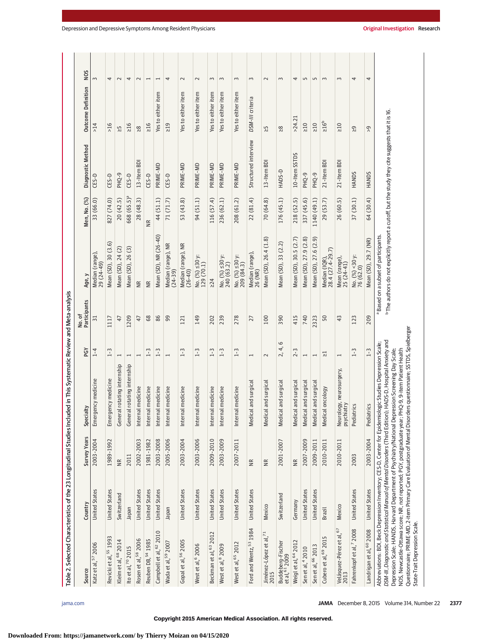| Source                                                                                                                                                                            | Country              | <b>Survey Years</b>  | Specialty                                                                                                                                                                                                                                                                                                                                                                                                 | PGY                      | No. of<br>Participants | Age, y                                                                                                                                                         | Men, No. (%)            | Diagnostic Method         | Outcome Definition    | NOS            |
|-----------------------------------------------------------------------------------------------------------------------------------------------------------------------------------|----------------------|----------------------|-----------------------------------------------------------------------------------------------------------------------------------------------------------------------------------------------------------------------------------------------------------------------------------------------------------------------------------------------------------------------------------------------------------|--------------------------|------------------------|----------------------------------------------------------------------------------------------------------------------------------------------------------------|-------------------------|---------------------------|-----------------------|----------------|
| 2006<br>Katz et al, 57                                                                                                                                                            | <b>United States</b> | 2003-2004            | ergency medicine<br>Ĕ                                                                                                                                                                                                                                                                                                                                                                                     | $1 - 4$                  | 51                     | Median (range)<br>29 (24-49)                                                                                                                                   | 33 (66.0)               | CES-D                     | >14                   | $\sim$         |
| Revicki et al, 55 1993                                                                                                                                                            | <b>United States</b> | 1989-1992            | Emergency medicine                                                                                                                                                                                                                                                                                                                                                                                        | $1-3$                    | 1117                   | $\ddot{6}$<br>Mean (SD), 30 (3.                                                                                                                                | 827 (74.0)              | CES-D                     | >16                   | 4              |
| Kleim et al, 68 2014                                                                                                                                                              | Switzerland          | $\widetilde{\Xi}$    | General rotating internship                                                                                                                                                                                                                                                                                                                                                                               | $\overline{\phantom{0}}$ | 47                     | Mean (SD), 24 (2)                                                                                                                                              | 20(42.5)                | PHQ-9                     | 신                     | $\sim$         |
| Ito et al, 70 2015                                                                                                                                                                | Inpapel              | 2011                 | General rotating internship                                                                                                                                                                                                                                                                                                                                                                               |                          | 1209                   | Mean (SD), 26 (3)                                                                                                                                              | 668 (65.5) <sup>a</sup> | $CES-D$                   | $\geq 16$             | 4              |
| Rosen et al, 58 2006                                                                                                                                                              | <b>United States</b> | 2002-2003            | Internal medicine                                                                                                                                                                                                                                                                                                                                                                                         |                          | 47                     | $\widetilde{B}$                                                                                                                                                | 28 (48.3)               | $\overline{5}$<br>13-Item | $\frac{8}{20}$        | $\sim$         |
| Reuben DB, 54 1985                                                                                                                                                                | <b>United States</b> | 1981-1982            | Internal medicine                                                                                                                                                                                                                                                                                                                                                                                         | $1 - 3$                  | $68$                   | $\widetilde{B}$                                                                                                                                                | $\frac{R}{N}$           | CES-D                     | $\geq 16$             | $\overline{ }$ |
| Campbell et al, 62 2010                                                                                                                                                           | <b>United States</b> | 2003-2008            | Internal medicine                                                                                                                                                                                                                                                                                                                                                                                         | $1 - 3$                  | 86                     | Mean (SD), NR (26-40)                                                                                                                                          | 44 (51.1)               | PRIME-MD                  | either item<br>Yes to | $\overline{ }$ |
| Wada et al, 59 2007                                                                                                                                                               | Inpan                | 2005-2006            | Internal medicine                                                                                                                                                                                                                                                                                                                                                                                         | $\overline{ }$           | 99                     | Median (range), NR<br>(24-39)                                                                                                                                  | 71 (71.7)               | CES-D                     | $\geq 19$             | 4              |
| Gopal et al, 56 2005                                                                                                                                                              | <b>United States</b> | 2003-2004            | Internal medicine                                                                                                                                                                                                                                                                                                                                                                                         | $1 - 3$                  | 121                    | Median (range), NR<br>(26-40)                                                                                                                                  | 53 (43.8)               | PRIME-MD                  | Yes to either item    | $\sim$         |
| West et al, 6 2006                                                                                                                                                                | <b>United States</b> | 2003-2006            | Internal medicine                                                                                                                                                                                                                                                                                                                                                                                         | $1 - 3$                  | 149                    | No. $\binom{96}{2}$ ≤30 y:<br>129 (70.1)                                                                                                                       | 94 (51.1)               | PRIME-MD                  | Yes to either item    | $\sim$         |
| Beckman et al, 63 2012                                                                                                                                                            | <b>United States</b> | 2009-2010            | Internal medicine                                                                                                                                                                                                                                                                                                                                                                                         | $1 - 3$                  | 202                    | $\geq$ 24                                                                                                                                                      | 116 (57.4)              | PRIME-MD                  | Yes to either item    | $\sim$         |
| West et al, <sup>8</sup> 2009                                                                                                                                                     | <b>United States</b> | 2003-2009            | Internal medicine                                                                                                                                                                                                                                                                                                                                                                                         | $1 - 3$                  | 239                    | No. $\binom{96}{6}$ ≤30 y:<br>240 (63.2)                                                                                                                       | 236 (62.1)              | PRIME-MD                  | Yes to either item    | $\sim$         |
| West et al, 65 2012                                                                                                                                                               | <b>United States</b> | 2007-2011            | Internal medicine                                                                                                                                                                                                                                                                                                                                                                                         | $1-3$                    | 278                    | No. $\binom{96}{6}$ ≤30 y:<br>209 (84.3)                                                                                                                       | 208 (61.2)              | PRIME-MD                  | Yes to either item    | $\sim$         |
| Ford and Wentz, 53 1984                                                                                                                                                           | <b>United States</b> | $\widetilde{\equiv}$ | Medical and surgica                                                                                                                                                                                                                                                                                                                                                                                       | $\mathord{\text{--}}$    | 27                     | Median (range),<br>26 (NR)                                                                                                                                     | 22(81.4)                | Structured interview      | DSM-III criteria      | 3              |
| Jiménez-López et al, <sup>71</sup><br>2015                                                                                                                                        | Mexico               | $\cong$              | Medical and surgical                                                                                                                                                                                                                                                                                                                                                                                      | $\sim$                   | 100                    | Mean (SD), 26.4 (1.8)                                                                                                                                          | 70(64.8)                | 13-Item BD                | $\leq$                | $\sim$         |
| Buddeberg-Fischer<br>et al, <sup>61</sup> 2009                                                                                                                                    | Switzerland          | 2001-2007            | Medical and surgical                                                                                                                                                                                                                                                                                                                                                                                      | 6<br>4,<br>2,            | 390                    | Mean (SD), 33 (2.2)                                                                                                                                            | 176 (45.1)              | HADS-D                    | $\frac{8}{10}$        | $\sim$         |
| Weigl et al, 64 2012                                                                                                                                                              | Germany              | $\widetilde{\Xi}$    | Medical and surgical                                                                                                                                                                                                                                                                                                                                                                                      | $2 - 3$                  | 415                    | Mean (SD), 30.5 (2.7)                                                                                                                                          | 218 (52.5)              | 10-Item SSTDS             | >24.21                | 4              |
| Sen et al, 4 2010                                                                                                                                                                 | <b>United States</b> | 2007-2009            | Medical and surgical                                                                                                                                                                                                                                                                                                                                                                                      | $\overline{\phantom{0}}$ | 740                    | Mean (SD), 27.9 (2.8)                                                                                                                                          | 337 (45.6)              | PHQ-9                     | $\geq 10$             | S              |
| Sen et al, <sup>66</sup> 2013                                                                                                                                                     | <b>United States</b> | 2009-2011            | Medical and surgical                                                                                                                                                                                                                                                                                                                                                                                      | $\overline{ }$           | 2323                   | Mean (SD), 27.6 (2.9)                                                                                                                                          | 1140 (49.1)             | PHQ-9                     | $\geq 10$             | S              |
| S<br>Cubero et al, 69 201                                                                                                                                                         | Brazil               | 2010-2011            | Medical oncology                                                                                                                                                                                                                                                                                                                                                                                          | 닜                        | 50                     | 28.4 (27.4-29.7)<br>Median (IQR)                                                                                                                               | 29 (53.7)               | 21-Item BD                | $\geq 16^{\rm b}$     | $\sim$         |
| Velásquez-Pérez et al, <sup>67</sup><br>2013                                                                                                                                      | Mexico               | 2010-2011            | Neurology, neurosurgery,<br>psychiatry                                                                                                                                                                                                                                                                                                                                                                    | 1                        | 43                     | Mean (range),<br>$25(24-41)$                                                                                                                                   | 26 (60.5)               | 21-Item BD                | $\geq 10$             | 3              |
| Fahrenkopf et al, <sup>7</sup> 2008                                                                                                                                               | <b>United States</b> | 2003                 | Pediatrics                                                                                                                                                                                                                                                                                                                                                                                                | $1 - 3$                  | 123                    | No. (%) <30 y:<br>76 (62.0)                                                                                                                                    | 37(30.1)                | HANDS                     | ဂ္ဂ                   | 4              |
| Landrigan et al, 60 2008                                                                                                                                                          | <b>United States</b> | 2003-2004            | Pediatrics                                                                                                                                                                                                                                                                                                                                                                                                | $1 - 3$                  | 209                    | Mean (SD), 29.7 (NR)                                                                                                                                           | 64 (30.4)               | HANDS                     | $\tilde{\mathcal{L}}$ | 4              |
| NOS, Newcastle-Ottawa score; NR, not reported; PGY, postgraduate year;<br>Questionnaire; PRIME-MD, 2-item Primary Care Evaluation of Mental Diso<br>State-Trait Depression Scale. |                      |                      | rders questionnaire; SSTDS, Spielberger<br>DSM-III. Diagnostic and Statistical Manual of Mental Disorders (Third Edition); HADS-D, Hospital Anxiety and<br>Abbreviations: BDI, Beck Depression Inventory; CES-D, Center for Epidemiologic Studies Depression Scale;<br>Depression Scale: HANDS, Harvard Department of Psychiatry/National Depression Screening Day Scale:<br>PHQ-9, 9-item Patient Health |                          |                        | <sup>b</sup> The authors do not explicitly report a cutoff, but the study they cite suggests that it is 16.<br><sup>a</sup> Based on a subset of participants. |                         |                           |                       |                |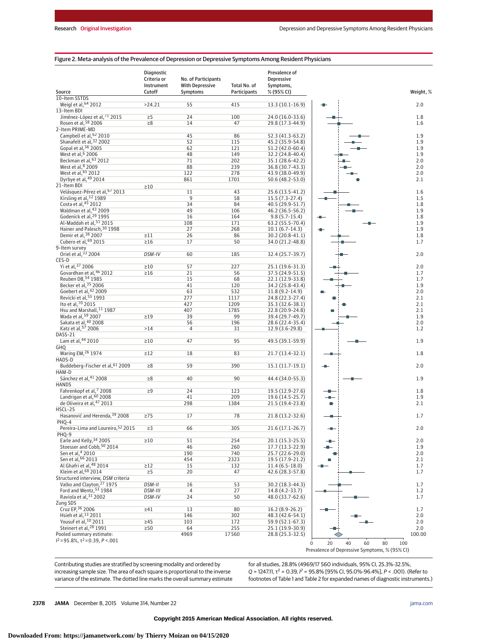#### Figure 2. Meta-analysis of the Prevalence of Depression or Depressive Symptoms Among Resident Physicians

|                                                                           | <b>Diagnostic</b><br>Criteria or<br>Instrument | No. of Participants<br><b>With Depressive</b> | Total No. of | Prevalence of<br>Depressive<br>Symptoms, |                                               |            |
|---------------------------------------------------------------------------|------------------------------------------------|-----------------------------------------------|--------------|------------------------------------------|-----------------------------------------------|------------|
| Source                                                                    | Cutoff                                         | Symptoms                                      | Participants | % (95% CI)                               |                                               | Weight, %  |
| 10-Item SSTDS                                                             |                                                |                                               |              |                                          |                                               |            |
| Weigl et al, 64 2012                                                      | >24.21                                         | 55                                            | 415          | 13.3 (10.1-16.9)                         |                                               | 2.0        |
| 13-Item BDI                                                               |                                                |                                               |              |                                          |                                               |            |
| Jiménez-López et al, 71 2015<br>Rosen et al, 58 2006                      | $\geq 5$<br>$\geq 8$                           | 24<br>14                                      | 100<br>47    | 24.0 (16.0-33.6)<br>29.8 (17.3-44.9)     |                                               | 1.8<br>1.6 |
| 2-Item PRIME-MD                                                           |                                                |                                               |              |                                          |                                               |            |
|                                                                           |                                                | 45                                            | 86           | 52.3 (41.3-63.2)                         |                                               | 1.9        |
| Campbell et al, <sup>62</sup> 2010<br>Shanafelt et al, <sup>32</sup> 2002 |                                                | 52                                            | 115          | 45.2 (35.9-54.8)                         |                                               | 1.9        |
| Gopal et al, 56 2005                                                      |                                                | 62                                            | 121          | 51.2 (42.0-60.4)                         |                                               | 1.9        |
| West et al, 6 2006                                                        |                                                | 48                                            | 149          | 32.2 (24.8-40.4)                         |                                               | 1.9        |
| Beckman et al, 63 2012                                                    |                                                | 71                                            | 202          | 35.1 (28.6-42.2)                         |                                               | 2.0        |
| West et al, <sup>8</sup> 2009                                             |                                                | 88                                            | 239          | 36.8 (30.7-43.3)                         |                                               | 2.0        |
| West et al. 65 2012                                                       |                                                | 122                                           | 278          | 43.9 (38.0-49.9)                         |                                               | 2.0        |
| Dyrbye et al, 49 2014<br>21-Item BDI                                      |                                                | 861                                           | 1701         | 50.6 (48.2-53.0)                         |                                               | 2.1        |
| Velásquez-Pérez et al, 67 2013                                            | $\geq 10$                                      | 11                                            | 43           | 25.6 (13.5-41.2)                         |                                               | 1.6        |
| Kirsling et al, <sup>12</sup> 1989                                        |                                                | $\overline{9}$                                | 58           | 15.5 (7.3-27.4)                          |                                               | 1.5        |
| Costa et al, 45 2012                                                      |                                                | 34                                            | 84           | 40.5 (29.9-51.7)                         |                                               | 1.8        |
| Waldman et al, 43 2009                                                    |                                                | 49                                            | 106          | 46.2 (36.5-56.2)                         |                                               | 1.9        |
| Godenick et al, <sup>29</sup> 1995                                        |                                                | 16                                            | 164          | $9.8(5.7-15.4)$                          |                                               | 1.8        |
| Al-Maddah et al, 51 2015                                                  |                                                | 108                                           | 171          | 63.2 (55.5-70.4)                         |                                               | 1.9        |
| Hainer and Palesch, 30 1998                                               |                                                | 27                                            | 268          | $10.1(6.7-14.3)$                         |                                               | 1.9        |
| Demir et al, 38 2007                                                      | $\geq$ 11                                      | 26                                            | 86           | 30.2 (20.8-41.1)                         |                                               | 1.8        |
| Cubero et al, 69 2015                                                     | $\geq 16$                                      | 17                                            | 50           | 34.0 (21.2-48.8)                         |                                               | 1.7        |
| 9-Item survey                                                             |                                                |                                               |              |                                          |                                               |            |
| Oriel et al, 33 2004<br>CES-D                                             | DSM-IV                                         | 60                                            | 185          | 32.4 (25.7-39.7)                         |                                               | 2.0        |
| Yi et al, 37 2006                                                         | $\geq 10$                                      | 57                                            | 227          | 25.1 (19.6-31.3)                         |                                               | 2.0        |
| Govardhan et al, 46 2012                                                  | $\geq 16$                                      | 21                                            | 56           | 37.5 (24.9-51.5)                         |                                               | 1.7        |
| Reuben DB, 54 1985                                                        |                                                | 15                                            | 68           | 22.1 (12.9-33.8)                         |                                               | 1.7        |
| Becker et al. <sup>35</sup> 2006                                          |                                                | 41                                            | 120          | 34.2 (25.8-43.4)                         |                                               | 1.9        |
| Goebert et al, 42 2009                                                    |                                                | 63                                            | 532          | $11.8(9.2-14.9)$                         |                                               | 2.0        |
| Revicki et al, 55 1993                                                    |                                                | 277                                           | 1117         | 24.8 (22.3-27.4)                         |                                               | 2.1        |
| Ito et al, 70 2015                                                        |                                                | 427                                           | 1209         | 35.3 (32.6-38.1)                         |                                               | 2.1        |
| Hsu and Marshall, 11 1987                                                 |                                                | 407                                           | 1785         | 22.8 (20.9-24.8)                         |                                               | 2.1        |
| Wada et al, 59 2007                                                       | $\geq$ 19                                      | 39                                            | 99           | 39.4 (29.7-49.7)                         |                                               | 1.9        |
| Sakata et al, 40 2008                                                     |                                                | 56                                            | 196          | 28.6 (22.4-35.4)                         |                                               | 2.0        |
| Katz et al, 57 2006<br><b>DASS-21</b>                                     | >14                                            | $\overline{4}$                                | 31           | 12.9 (3.6-29.8)                          |                                               | 1.2        |
| Lam et al, 44 2010                                                        | $\geq 10$                                      | 47                                            | 95           | 49.5 (39.1-59.9)                         |                                               | 1.9        |
| GHQ                                                                       |                                                |                                               |              |                                          |                                               |            |
| Waring EM, 26 1974                                                        | $\geq$ 12                                      | 18                                            | 83           | 21.7 (13.4-32.1)                         |                                               | 1.8        |
| HADS-D                                                                    |                                                |                                               |              |                                          |                                               |            |
| Buddeberg-Fischer et al, 61 2009                                          | $\geq 8$                                       | 59                                            | 390          | $15.1(11.7-19.1)$                        |                                               | 2.0        |
| HAM-D                                                                     |                                                |                                               |              |                                          |                                               |            |
| Sánchez et al, 41 2008                                                    | $\geq 8$                                       | 40                                            | 90           | 44.4 (34.0-55.3)                         |                                               | 1.9        |
| <b>HANDS</b>                                                              |                                                |                                               |              |                                          |                                               |            |
| Fahrenkopf et al, 7 2008                                                  | $\geq 9$                                       | 24                                            | 123          | 19.5 (12.9-27.6)                         |                                               | 1.8        |
| Landrigan et al, 60 2008<br>de Oliveira et al, 47 2013                    |                                                | 41                                            | 209          | 19.6 (14.5-25.7)                         |                                               | 1.9        |
| HSCL-25                                                                   |                                                | 298                                           | 1384         | 21.5 (19.4-23.8)                         |                                               | 2.1        |
| Hasanović and Herenda, 39 2008                                            | $\geq$ 75                                      | 17                                            | 78           | 21.8 (13.2-32.6)                         |                                               | 1.7        |
| PHQ-4                                                                     |                                                |                                               |              |                                          |                                               |            |
| Pereira-Lima and Loureiro. <sup>52</sup> 2015                             | $\geq$ 3                                       | 66                                            | 305          | $21.6(17.1 - 26.7)$                      |                                               | 2.0        |
| PHQ-9                                                                     |                                                |                                               |              |                                          |                                               |            |
| Earle and Kelly, 34 2005                                                  | $\geq 10$                                      | 51                                            | 254          | 20.1 (15.3-25.5)                         |                                               | 2.0        |
| Stoesser and Cobb, 50 2014                                                |                                                | 46                                            | 260          | 17.7 (13.3-22.9)                         |                                               | 1.9        |
| Sen et al. <sup>4</sup> 2010                                              |                                                | 190                                           | 740          | 25.7 (22.6-29.0)                         |                                               | 2.0        |
| Sen et al, 66 2013                                                        |                                                | 454                                           | 2323         | 19.5 (17.9-21.2)                         |                                               | 2.1        |
| Al Ghafri et al, 48 2014                                                  | $\geq$ 12                                      | 15                                            | 132          | $11.4(6.5-18.0)$                         |                                               | 1.7        |
| Kleim et al, 68 2014                                                      | $\geq 5$                                       | 20                                            | 47           | 42.6 (28.3-57.8)                         |                                               | 1.7        |
| Structured interview, DSM criteria                                        |                                                |                                               |              |                                          |                                               |            |
| Valko and Clayton, 27 1975<br>Ford and Wentz, 53 1984                     | DSM-II                                         | 16                                            | 53           | 30.2 (18.3-44.3)<br>14.8 (4.2-33.7)      |                                               | 1.7        |
| Raviola et al, 31 2002                                                    | DSM-III<br>DSM-IV                              | $\overline{4}$                                | 27           |                                          |                                               | 1.2        |
| Zung SDS                                                                  |                                                | 24                                            | 50           | 48.0 (33.7-62.6)                         |                                               | 1.7        |
| Cruz EP, 36 2006                                                          | $\geq 41$                                      | 13                                            | 80           | 16.2 (8.9-26.2)                          |                                               | 1.7        |
| Hsieh et al, <sup>13</sup> 2011                                           |                                                | 146                                           | 302          | 48.3 (42.6-54.1)                         |                                               | 2.0        |
| Yousuf et al, 10 2011                                                     | $\geq 45$                                      | 103                                           | 172          | 59.9 (52.1-67.3)                         |                                               | 2.0        |
| Steinert et al, <sup>28</sup> 1991                                        | $\geq 50$                                      | 64                                            | 255          | 25.1 (19.9-30.9)                         |                                               | 2.0        |
| Pooled summary estimate:                                                  |                                                | 4969                                          | 17560        | 28.8 (25.3-32.5)                         |                                               | 100.00     |
| $I^2 = 95.8\%$ , $\tau^2 = 0.39$ , $P < .001$                             |                                                |                                               |              |                                          | 20<br>40<br>60<br>80<br>$\Omega$              | 100        |
|                                                                           |                                                |                                               |              |                                          | Prevalence of Depressive Symptoms, % (95% CI) |            |
|                                                                           |                                                |                                               |              |                                          |                                               |            |

Contributing studies are stratified by screening modality and ordered by increasing sample size. The area of each square is proportional to the inverse variance of the estimate. The dotted line marks the overall summary estimate for all studies, 28.8% (4969/17 560 individuals, 95% CI, 25.3%-32.5%,  $Q = 1247.11$ ,  $\tau^2 = 0.39$ ,  $I^2 = 95.8\%$  [95% CI, 95.0%-96.4%],  $P < .001$ ). (Refer to footnotes of Table 1 and Table 2 for expanded names of diagnostic instruments.)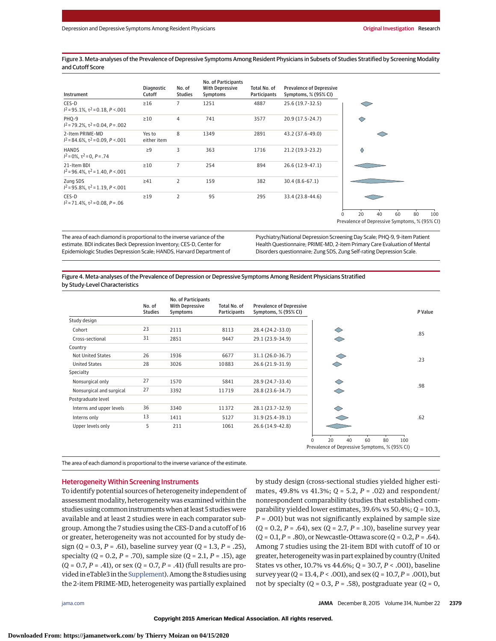Figure 3. Meta-analyses of the Prevalence of Depressive Symptoms Among Resident Physicians in Subsets of Studies Stratified by Screening Modality and Cutoff Score

| Instrument                                                       | <b>Diagnostic</b><br>Cutoff | No. of<br><b>Studies</b> | No. of Participants<br><b>With Depressive</b><br>Symptoms | Total No. of<br><b>Participants</b> | <b>Prevalence of Depressive</b><br>Symptoms, % (95% CI) |                                               |
|------------------------------------------------------------------|-----------------------------|--------------------------|-----------------------------------------------------------|-------------------------------------|---------------------------------------------------------|-----------------------------------------------|
| CES-D<br>$I^2$ = 95.1%, $\tau^2$ = 0.18, P <.001                 | $\geq 16$                   | $\overline{7}$           | 1251                                                      | 4887                                | 25.6 (19.7-32.5)                                        | ⇔                                             |
| PHQ-9<br>$I^2 = 79.2\%$ , $\tau^2 = 0.04$ , $P = .002$           | $\geq 10$                   | 4                        | 741                                                       | 3577                                | 20.9 (17.5-24.7)                                        | ◇                                             |
| 2-Item PRIME-MD<br>$I^2 = 84.6\%$ , $\tau^2 = 0.09$ , $P < .001$ | Yes to<br>either item       | 8                        | 1349                                                      | 2891                                | 43.2 (37.6-49.0)                                        |                                               |
| <b>HANDS</b><br>$I^2 = 0\%$ , $\tau^2 = 0$ , $P = .74$           | $\geq 9$                    | 3                        | 363                                                       | 1716                                | 21.2 (19.3-23.2)                                        | ♦                                             |
| 21-Item BDI<br>$I^2$ = 96.4%, $\tau^2$ = 1.40, P <.001           | $\geq 10$                   | $\overline{7}$           | 254                                                       | 894                                 | 26.6 (12.9-47.1)                                        |                                               |
| Zung SDS<br>$I^2 = 95.8\%$ , $\tau^2 = 1.19$ , $P < .001$        | $\geq 41$                   | $\overline{2}$           | 159                                                       | 382                                 | $30.4(8.6-67.1)$                                        |                                               |
| CES-D<br>$I^2 = 71.4\%$ , $\tau^2 = 0.08$ , $P = .06$            | $\geq$ 19                   | $\overline{2}$           | 95                                                        | 295                                 | 33.4 (23.8-44.6)                                        | 20<br>60<br>40<br>80<br>100<br>U              |
|                                                                  |                             |                          |                                                           |                                     |                                                         | Prevalence of Depressive Symptoms, % (95% CI) |

The area of each diamond is proportional to the inverse variance of the estimate. BDI indicates Beck Depression Inventory; CES-D, Center for Epidemiologic Studies Depression Scale; HANDS, Harvard Department of Psychiatry/National Depression Screening Day Scale; PHQ-9, 9-item Patient Health Questionnaire; PRIME-MD, 2-item Primary Care Evaluation of Mental Disorders questionnaire; Zung SDS, Zung Self-rating Depression Scale.

Figure 4. Meta-analyses of the Prevalence of Depression or Depressive Symptoms Among Resident Physicians Stratified by Study-Level Characteristics

|                          | No. of<br><b>Studies</b> | No. of Participants<br><b>With Depressive</b><br>Symptoms | Total No. of<br><b>Participants</b> | <b>Prevalence of Depressive</b><br>Symptoms, % (95% CI) |                                                                                          | P Value |
|--------------------------|--------------------------|-----------------------------------------------------------|-------------------------------------|---------------------------------------------------------|------------------------------------------------------------------------------------------|---------|
| Study design             |                          |                                                           |                                     |                                                         |                                                                                          |         |
| Cohort                   | 23                       | 2111                                                      | 8113                                | 28.4 (24.2-33.0)                                        |                                                                                          | .85     |
| Cross-sectional          | 31                       | 2851                                                      | 9447                                | 29.1 (23.9-34.9)                                        |                                                                                          |         |
| Country                  |                          |                                                           |                                     |                                                         |                                                                                          |         |
| Not United States        | 26                       | 1936                                                      | 6677                                | 31.1 (26.0-36.7)                                        |                                                                                          | .23     |
| <b>United States</b>     | 28                       | 3026                                                      | 10883                               | 26.6 (21.9-31.9)                                        | ◇                                                                                        |         |
| Specialty                |                          |                                                           |                                     |                                                         |                                                                                          |         |
| Nonsurgical only         | 27                       | 1570                                                      | 5841                                | 28.9 (24.7-33.4)                                        | ◇                                                                                        | .98     |
| Nonsurgical and surgical | 27                       | 3392                                                      | 11719                               | 28.8 (23.6-34.7)                                        | ⌒                                                                                        |         |
| Postgraduate level       |                          |                                                           |                                     |                                                         |                                                                                          |         |
| Interns and upper levels | 36                       | 3340                                                      | 11372                               | 28.1 (23.7-32.9)                                        | ◇                                                                                        |         |
| Interns only             | 13                       | 1411                                                      | 5127                                | 31.9 (25.4-39.1)                                        |                                                                                          | .62     |
| Upper levels only        | 5                        | 211                                                       | 1061                                | 26.6 (14.9-42.8)                                        |                                                                                          |         |
|                          |                          |                                                           |                                     |                                                         | 20<br>80<br>40<br>60<br>100<br>$\Omega$<br>Prevalence of Depressive Symptoms, % (95% CI) |         |

The area of each diamond is proportional to the inverse variance of the estimate.

#### Heterogeneity Within Screening Instruments

To identify potential sources of heterogeneity independent of assessment modality, heterogeneity was examined within the studies using common instrumentswhen at least 5 studieswere available and at least 2 studies were in each comparator subgroup. Among the 7 studies using the CES-D and a cutoff of 16 or greater, heterogeneity was not accounted for by study design (*Q* = 0.3, *P* = .61), baseline survey year (*Q* = 1.3, *P* = .25), specialty (*Q* = 0.2, *P* = .70), sample size (*Q* = 2.1, *P* = .15), age (*Q* = 0.7, *P* = .41), or sex (*Q* = 0.7, *P* = .41) (full results are provided in eTable3 in the Supplement). Among the 8 studies using the 2-item PRIME-MD, heterogeneity was partially explained

by study design (cross-sectional studies yielded higher estimates, 49.8% vs 41.3%; *Q* = 5.2, *P* = .02) and respondent/ nonrespondent comparability (studies that established comparability yielded lower estimates, 39.6% vs 50.4%; *Q* = 10.3, *P* = .001) but was not significantly explained by sample size (*Q* = 0.2, *P* = .64), sex (*Q* = 2.7, *P* = .10), baseline survey year (*Q* = 0.1,*P* = .80), or Newcastle-Ottawa score (*Q* = 0.2,*P* = .64). Among 7 studies using the 21-item BDI with cutoff of 10 or greater, heterogeneity was in part explained by country (United States vs other, 10.7% vs 44.6%; *Q* = 30.7, *P* < .001), baseline survey year (*Q* = 13.4,*P* < .001), and sex (*Q* = 10.7,*P* = .001), but not by specialty  $(Q = 0.3, P = .58)$ , postgraduate year  $(Q = 0,$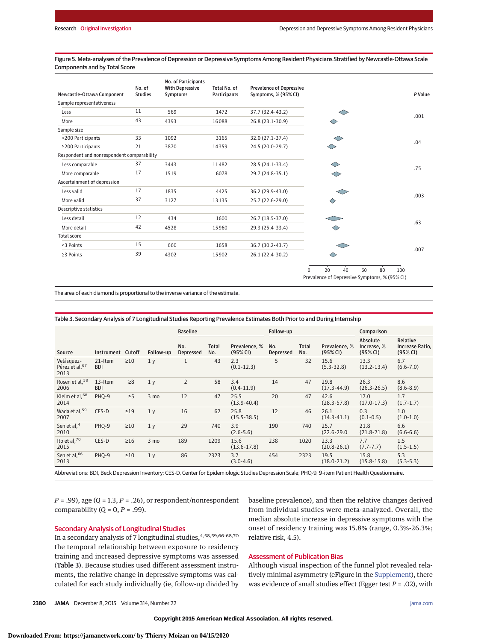Figure 5. Meta-analyses of the Prevalence of Depression or Depressive Symptoms Among Resident Physicians Stratified by Newcastle-Ottawa Scale Components and by Total Score

| Newcastle-Ottawa Component                 | No. of<br><b>Studies</b> | No. of Participants<br><b>With Depressive</b><br>Symptoms | Total No. of<br>Participants | <b>Prevalence of Depressive</b><br>Symptoms, % (95% CI) |                                                                                          | P Value |
|--------------------------------------------|--------------------------|-----------------------------------------------------------|------------------------------|---------------------------------------------------------|------------------------------------------------------------------------------------------|---------|
| Sample representativeness                  |                          |                                                           |                              |                                                         |                                                                                          |         |
| Less                                       | 11                       | 569                                                       | 1472                         | 37.7 (32.4-43.2)                                        |                                                                                          | .001    |
| More                                       | 43                       | 4393                                                      | 16088                        | 26.8 (23.1-30.9)                                        | $\Diamond$                                                                               |         |
| Sample size                                |                          |                                                           |                              |                                                         |                                                                                          |         |
| <200 Participants                          | 33                       | 1092                                                      | 3165                         | 32.0 (27.1-37.4)                                        |                                                                                          | .04     |
| ≥200 Participants                          | 21                       | 3870                                                      | 14359                        | 24.5 (20.0-29.7)                                        |                                                                                          |         |
| Respondent and nonrespondent comparability |                          |                                                           |                              |                                                         |                                                                                          |         |
| Less comparable                            | 37                       | 3443                                                      | 11482                        | 28.5 (24.1-33.4)                                        |                                                                                          | .75     |
| More comparable                            | 17                       | 1519                                                      | 6078                         | 29.7 (24.8-35.1)                                        | ◇                                                                                        |         |
| Ascertainment of depression                |                          |                                                           |                              |                                                         |                                                                                          |         |
| Less valid                                 | 17                       | 1835                                                      | 4425                         | 36.2 (29.9-43.0)                                        |                                                                                          |         |
| More valid                                 | 37                       | 3127                                                      | 13135                        | 25.7 (22.6-29.0)                                        | $\diamond$                                                                               | .003    |
| Descriptive statistics                     |                          |                                                           |                              |                                                         |                                                                                          |         |
| Less detail                                | 12                       | 434                                                       | 1600                         | 26.7 (18.5-37.0)                                        |                                                                                          |         |
| More detail                                | 42                       | 4528                                                      | 15960                        | 29.3 (25.4-33.4)                                        | ◇                                                                                        | .63     |
| Total score                                |                          |                                                           |                              |                                                         |                                                                                          |         |
| <3 Points                                  | 15                       | 660                                                       | 1658                         | 36.7 (30.2-43.7)                                        |                                                                                          |         |
| ≥3 Points                                  | 39                       | 4302                                                      | 15902                        | 26.1 (22.4-30.2)                                        |                                                                                          | .007    |
|                                            |                          |                                                           |                              |                                                         | 20<br>40<br>60<br>80<br>$\Omega$<br>100<br>Prevalence of Depressive Symptoms, % (95% CI) |         |

The area of each diamond is proportional to the inverse variance of the estimate.

#### Table 3. Secondary Analysis of 7 Longitudinal Studies Reporting Prevalence Estimates Both Prior to and During Internship

|                                                  |                       |           |                | <b>Baseline</b><br>Follow-up |              | Comparison                |                         |                     |                           |                                     |                                         |
|--------------------------------------------------|-----------------------|-----------|----------------|------------------------------|--------------|---------------------------|-------------------------|---------------------|---------------------------|-------------------------------------|-----------------------------------------|
| Source                                           | Instrument Cutoff     |           | Follow-up      | No.<br>Depressed             | Total<br>No. | Prevalence, %<br>(95% CI) | No.<br><b>Depressed</b> | <b>Total</b><br>No. | Prevalence, %<br>(95% CI) | Absolute<br>Increase, %<br>(95% CI) | Relative<br>Increase Ratio,<br>(95% CI) |
| Velásquez-<br>Pérez et al. <sup>67</sup><br>2013 | 21-Item<br><b>BDI</b> | $\geq 10$ | 1 <sub>y</sub> |                              | 43           | 2.3<br>$(0.1 - 12.3)$     | 5                       | 32                  | 15.6<br>$(5.3 - 32.8)$    | 13.3<br>$(13.2 - 13.4)$             | 6.7<br>$(6.6 - 7.0)$                    |
| Rosen et al, 58<br>2006                          | 13-Item<br><b>BDI</b> | $\geq 8$  | 1 <sub>v</sub> | $\overline{2}$               | 58           | 3.4<br>$(0.4 - 11.9)$     | 14                      | 47                  | 29.8<br>$(17.3 - 44.9)$   | 26.3<br>$(26.3 - 26.5)$             | 8.6<br>$(8.6 - 8.9)$                    |
| Kleim et al, 68<br>2014                          | PHQ-9                 | $\geq$ 5  | 3 mo           | 12                           | 47           | 25.5<br>$(13.9 - 40.4)$   | 20                      | 47                  | 42.6<br>$(28.3 - 57.8)$   | 17.0<br>$(17.0 - 17.3)$             | 1.7<br>$(1.7 - 1.7)$                    |
| Wada et al, 59<br>2007                           | CES-D                 | $\geq$ 19 | 1 <sub>y</sub> | 16                           | 62           | 25.8<br>$(15.5 - 38.5)$   | 12                      | 46                  | 26.1<br>$(14.3 - 41.1)$   | 0.3<br>$(0.1 - 0.5)$                | 1.0<br>$(1.0-1.0)$                      |
| Sen et al, <sup>4</sup><br>2010                  | PHQ-9                 | $\geq 10$ | 1 <sub>v</sub> | 29                           | 740          | 3.9<br>$(2.6 - 5.6)$      | 190                     | 740                 | 25.7<br>$(22.6 - 29.0)$   | 21.8<br>$(21.8 - 21.8)$             | 6.6<br>$(6.6 - 6.6)$                    |
| Ito et al, 70<br>2015                            | CES-D                 | $\geq 16$ | 3 mo           | 189                          | 1209         | 15.6<br>$(13.6 - 17.8)$   | 238                     | 1020                | 23.3<br>$(20.8 - 26.1)$   | 7.7<br>$(7.7 - 7.7)$                | 1.5<br>$(1.5-1.5)$                      |
| Sen et al, 66<br>2013                            | PHQ-9                 | $\geq 10$ | 1 <sub>v</sub> | 86                           | 2323         | 3.7<br>$(3.0 - 4.6)$      | 454                     | 2323                | 19.5<br>$(18.0 - 21.2)$   | 15.8<br>$(15.8 - 15.8)$             | 5.3<br>$(5.3 - 5.3)$                    |

Abbreviations: BDI, Beck Depression Inventory; CES-D, Center for Epidemiologic Studies Depression Scale; PHQ-9, 9-item Patient Health Questionnaire.

*P* = .99), age (*Q* = 1.3, *P* = .26), or respondent/nonrespondent comparability (*Q* = 0, *P* = .99).

## Secondary Analysis of Longitudinal Studies

In a secondary analysis of 7 longitudinal studies,  $^{\rm 4,58,59,66\cdot 68,70}$ the temporal relationship between exposure to residency training and increased depressive symptoms was assessed (Table 3). Because studies used different assessment instruments, the relative change in depressive symptoms was calculated for each study individually (ie, follow-up divided by baseline prevalence), and then the relative changes derived from individual studies were meta-analyzed. Overall, the median absolute increase in depressive symptoms with the onset of residency training was 15.8% (range, 0.3%-26.3%; relative risk, 4.5).

## Assessment of Publication Bias

Although visual inspection of the funnel plot revealed relatively minimal asymmetry (eFigure in the [Supplement\)](http://jama.jamanetwork.com/article.aspx?doi=10.1001/jama.2015.15845&utm_campaign=articlePDF%26utm_medium=articlePDFlink%26utm_source=articlePDF%26utm_content=jama.2015.15845), there was evidence of small studies effect (Egger test *P* = .02), with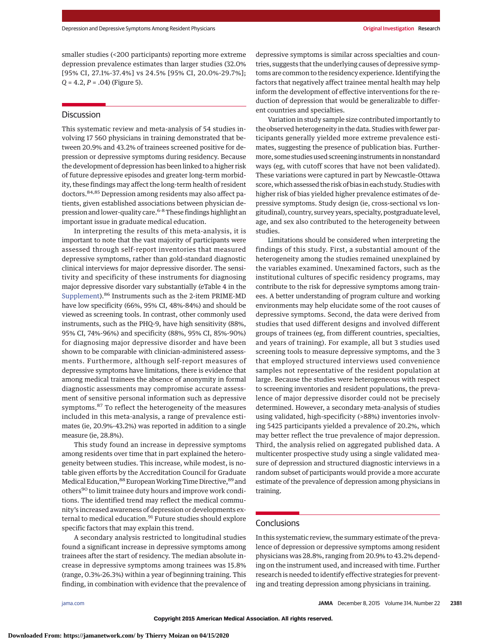smaller studies (<200 participants) reporting more extreme depression prevalence estimates than larger studies (32.0% [95% CI, 27.1%-37.4%] vs 24.5% [95% CI, 20.0%-29.7%]; *Q* = 4.2, *P* = .04) (Figure 5).

# Discussion

This systematic review and meta-analysis of 54 studies involving 17 560 physicians in training demonstrated that between 20.9% and 43.2% of trainees screened positive for depression or depressive symptoms during residency. Because the development of depression has been linked to a higher risk of future depressive episodes and greater long-term morbidity, these findings may affect the long-term health of resident doctors.84,85 Depression among residents may also affect patients, given established associations between physician depression and lower-quality care.<sup>6-8</sup> These findings highlight an important issue in graduate medical education.

In interpreting the results of this meta-analysis, it is important to note that the vast majority of participants were assessed through self-report inventories that measured depressive symptoms, rather than gold-standard diagnostic clinical interviews for major depressive disorder. The sensitivity and specificity of these instruments for diagnosing major depressive disorder vary substantially (eTable 4 in the [Supplement\)](http://jama.jamanetwork.com/article.aspx?doi=10.1001/jama.2015.15845&utm_campaign=articlePDF%26utm_medium=articlePDFlink%26utm_source=articlePDF%26utm_content=jama.2015.15845).<sup>86</sup> Instruments such as the 2-item PRIME-MD have low specificity (66%, 95% CI, 48%-84%) and should be viewed as screening tools. In contrast, other commonly used instruments, such as the PHQ-9, have high sensitivity (88%, 95% CI, 74%-96%) and specificity (88%, 95% CI, 85%-90%) for diagnosing major depressive disorder and have been shown to be comparable with clinician-administered assessments. Furthermore, although self-report measures of depressive symptoms have limitations, there is evidence that among medical trainees the absence of anonymity in formal diagnostic assessments may compromise accurate assessment of sensitive personal information such as depressive symptoms.<sup>87</sup> To reflect the heterogeneity of the measures included in this meta-analysis, a range of prevalence estimates (ie, 20.9%-43.2%) was reported in addition to a single measure (ie, 28.8%).

This study found an increase in depressive symptoms among residents over time that in part explained the heterogeneity between studies. This increase, while modest, is notable given efforts by the Accreditation Council for Graduate Medical Education, <sup>88</sup> European Working Time Directive, <sup>89</sup> and others<sup>90</sup> to limit trainee duty hours and improve work conditions. The identified trend may reflect the medical community's increased awareness of depression or developments external to medical education.<sup>91</sup> Future studies should explore specific factors that may explain this trend.

A secondary analysis restricted to longitudinal studies found a significant increase in depressive symptoms among trainees after the start of residency. The median absolute increase in depressive symptoms among trainees was 15.8% (range, 0.3%-26.3%) within a year of beginning training. This finding, in combination with evidence that the prevalence of

depressive symptoms is similar across specialties and countries, suggests that the underlying causes of depressive symptoms are common to the residency experience. Identifying the factors that negatively affect trainee mental health may help inform the development of effective interventions for the reduction of depression that would be generalizable to different countries and specialties.

Variation in study sample size contributed importantly to the observed heterogeneity in the data. Studies with fewer participants generally yielded more extreme prevalence estimates, suggesting the presence of publication bias. Furthermore, some studies used screening instruments in nonstandard ways (eg, with cutoff scores that have not been validated). These variations were captured in part by Newcastle-Ottawa score, which assessed the risk of bias in each study. Studies with higher risk of bias yielded higher prevalence estimates of depressive symptoms. Study design (ie, cross-sectional vs longitudinal), country, survey years, specialty, postgraduate level, age, and sex also contributed to the heterogeneity between studies.

Limitations should be considered when interpreting the findings of this study. First, a substantial amount of the heterogeneity among the studies remained unexplained by the variables examined. Unexamined factors, such as the institutional cultures of specific residency programs, may contribute to the risk for depressive symptoms among trainees. A better understanding of program culture and working environments may help elucidate some of the root causes of depressive symptoms. Second, the data were derived from studies that used different designs and involved different groups of trainees (eg, from different countries, specialties, and years of training). For example, all but 3 studies used screening tools to measure depressive symptoms, and the 3 that employed structured interviews used convenience samples not representative of the resident population at large. Because the studies were heterogeneous with respect to screening inventories and resident populations, the prevalence of major depressive disorder could not be precisely determined. However, a secondary meta-analysis of studies using validated, high-specificity (>88%) inventories involving 5425 participants yielded a prevalence of 20.2%, which may better reflect the true prevalence of major depression. Third, the analysis relied on aggregated published data. A multicenter prospective study using a single validated measure of depression and structured diagnostic interviews in a random subset of participants would provide a more accurate estimate of the prevalence of depression among physicians in training.

# Conclusions

In this systematic review, the summary estimate of the prevalence of depression or depressive symptoms among resident physicians was 28.8%, ranging from 20.9% to 43.2% depending on the instrument used, and increased with time. Further research is needed to identify effective strategies for preventing and treating depression among physicians in training.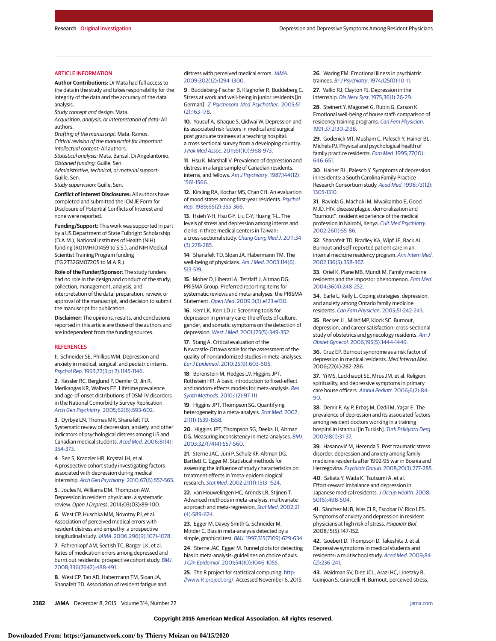**2382 JAMA** December 8, 2015 Volume 314, Number 22 **(Reprinted)** in the state of the state of the state of the state of the state of the state of the state of the state of the state of the state of the state of the state o

## **Downloaded From: https://jamanetwork.com/ by Thierry Moizan on 04/15/2020**

Research Original Investigation **Depression and Depression and Depressive Symptoms Among Resident Physicians** 

#### ARTICLE INFORMATION

**Author Contributions:** Dr Mata had full access to the data in the study and takes responsibility for the integrity of the data and the accuracy of the data analysis.

Study concept and design: Mata.

Acquisition, analysis, or interpretation of data: All authors.

Drafting of the manuscript: Mata, Ramos. Critical revision of the manuscript for important

intellectual content: All authors.

Statistical analysis: Mata, Bansal, Di Angelantonio. Obtained funding: Guille, Sen.

Administrative, technical, or material support: Guille, Sen.

Study supervision: Guille, Sen.

**Conflict of Interest Disclosures:** All authors have completed and submitted the ICMJE Form for Disclosure of Potential Conflicts of Interest and none were reported.

**Funding/Support:** This work was supported in part by a US Department of State Fulbright Scholarship (D.A.M.), National Institutes of Health (NIH) funding (R01MH101459 to S.S.), and NIH Medical Scientist Training Program funding (TG 2T32GM07205 to M.A.R.).

**Role of the Funder/Sponsor:** The study funders had no role in the design and conduct of the study; collection, management, analysis, and interpretation of the data; preparation, review, or approval of the manuscript; and decision to submit the manuscript for publication.

**Disclaimer:** The opinions, results, and conclusions reported in this article are those of the authors and are independent from the funding sources.

#### **REFERENCES**

**1**. Schneider SE, Phillips WM. Depression and anxiety in medical, surgical, and pediatric interns. Psychol Rep[. 1993;72\(3 pt 2\):1145-1146.](http://www.ncbi.nlm.nih.gov/pubmed/8337317)

**2**. Kessler RC, Berglund P, Demler O, Jin R, Merikangas KR, Walters EE. Lifetime prevalence and age-of-onset distributions of DSM-IV disorders in the National Comorbidity Survey Replication. Arch Gen Psychiatry[. 2005;62\(6\):593-602.](http://www.ncbi.nlm.nih.gov/pubmed/15939837)

**3**. Dyrbye LN, Thomas MR, Shanafelt TD. Systematic review of depression, anxiety, and other indicators of psychological distress among US and Canadian medical students. Acad Med[. 2006;81\(4\):](http://www.ncbi.nlm.nih.gov/pubmed/16565188) [354-373.](http://www.ncbi.nlm.nih.gov/pubmed/16565188)

**4**. Sen S, Kranzler HR, Krystal JH, et al. A prospective cohort study investigating factors associated with depression during medical internship. Arch Gen Psychiatry[. 2010;67\(6\):557-565.](http://www.ncbi.nlm.nih.gov/pubmed/20368500)

**5**. Joules N, Williams DM, Thompson AW. Depression in resident physicians: a systematic review. Open J Depress. 2014;03(03):89-100.

**6**. West CP, Huschka MM, Novotny PJ, et al. Association of perceived medical errors with resident distress and empathy: a prospective longitudinal study.JAMA[. 2006;296\(9\):1071-1078.](http://www.ncbi.nlm.nih.gov/pubmed/16954486)

**7**. Fahrenkopf AM, Sectish TC, Barger LK, et al. Rates of medication errors among depressed and burnt out residents: prospective cohort study. [BMJ](http://www.ncbi.nlm.nih.gov/pubmed/18258931). [2008;336\(7642\):488-491.](http://www.ncbi.nlm.nih.gov/pubmed/18258931)

**8**. West CP, Tan AD, Habermann TM, Sloan JA, Shanafelt TD. Association of resident fatigue and distress with perceived medical errors.[JAMA](http://www.ncbi.nlm.nih.gov/pubmed/19773564). [2009;302\(12\):1294-1300.](http://www.ncbi.nlm.nih.gov/pubmed/19773564)

**9**. Buddeberg-Fischer B, Klaghofer R, Buddeberg C. Stress at work and well-being in junior residents [in German]. [Z Psychosom Med Psychother](http://www.ncbi.nlm.nih.gov/pubmed/15931600). 2005;51 [\(2\):163-178.](http://www.ncbi.nlm.nih.gov/pubmed/15931600)

**10**. Yousuf A, Ishaque S, Qidwai W. Depression and its associated risk factors in medical and surgical post graduate trainees at a teaching hospital: a cross sectional survey from a developing country. J Pak Med Assoc[. 2011;61\(10\):968-973.](http://www.ncbi.nlm.nih.gov/pubmed/22356028)

**11**. Hsu K, Marshall V. Prevalence of depression and distress in a large sample of Canadian residents, interns, and fellows. [Am J Psychiatry](http://www.ncbi.nlm.nih.gov/pubmed/3688279). 1987;144(12): [1561-1566.](http://www.ncbi.nlm.nih.gov/pubmed/3688279)

**12**. Kirsling RA, Kochar MS, Chan CH. An evaluation of mood states among first-year residents. [Psychol](http://www.ncbi.nlm.nih.gov/pubmed/2798654) Rep[. 1989;65\(2\):355-366.](http://www.ncbi.nlm.nih.gov/pubmed/2798654)

**13**. Hsieh Y-H, Hsu C-Y, Liu C-Y, Huang T-L. The levels of stress and depression among interns and clerks in three medical centers in Taiwan: a cross-sectional study. [Chang Gung Med J](http://www.ncbi.nlm.nih.gov/pubmed/21733357). 2011;34 [\(3\):278-285.](http://www.ncbi.nlm.nih.gov/pubmed/21733357)

**14**. Shanafelt TD, Sloan JA, Habermann TM. The well-being of physicians. Am J Med[. 2003;114\(6\):](http://www.ncbi.nlm.nih.gov/pubmed/12727590) [513-519.](http://www.ncbi.nlm.nih.gov/pubmed/12727590)

**15**. Moher D, Liberati A, Tetzlaff J, Altman DG; PRISMA Group. Preferred reporting items for systematic reviews and meta-analyses: the PRISMA Statement. Open Med[. 2009;3\(3\):e123-e130.](http://www.ncbi.nlm.nih.gov/pubmed/21603045)

**16**. Kerr LK, Kerr LD Jr. Screening tools for depression in primary care: the effects of culture, gender, and somatic symptoms on the detection of depression. West J Med[. 2001;175\(5\):349-352.](http://www.ncbi.nlm.nih.gov/pubmed/11694495)

**17**. Stang A. Critical evaluation of the Newcastle-Ottawa scale for the assessment of the quality of nonrandomized studies in meta-analyses. Eur J Epidemiol[. 2010;25\(9\):603-605.](http://www.ncbi.nlm.nih.gov/pubmed/20652370)

**18**. Borenstein M, Hedges LV, Higgins JPT, Rothstein HR. A basic introduction to fixed-effect and random-effects models for meta-analysis. [Res](http://www.ncbi.nlm.nih.gov/pubmed/26061376) Synth Methods[. 2010;1\(2\):97-111.](http://www.ncbi.nlm.nih.gov/pubmed/26061376)

**19**. Higgins JPT, Thompson SG. Quantifying heterogeneity in a meta-analysis. [Stat Med](http://www.ncbi.nlm.nih.gov/pubmed/12111919). 2002; [21\(11\):1539-1558.](http://www.ncbi.nlm.nih.gov/pubmed/12111919)

**20**. Higgins JPT, Thompson SG, Deeks JJ, Altman DG. Measuring inconsistency in meta-analyses. [BMJ](http://www.ncbi.nlm.nih.gov/pubmed/12958120). [2003;327\(7414\):557-560.](http://www.ncbi.nlm.nih.gov/pubmed/12958120)

**21**. Sterne JAC, Jüni P, Schulz KF, Altman DG, Bartlett C, Egger M. Statistical methods for assessing the influence of study characteristics on treatment effects in 'meta-epidemiological' research. Stat Med[. 2002;21\(11\):1513-1524.](http://www.ncbi.nlm.nih.gov/pubmed/12111917)

**22**. van Houwelingen HC, Arends LR, Stijnen T. Advanced methods in meta-analysis: multivariate approach and meta-regression. Stat Med[. 2002;21](http://www.ncbi.nlm.nih.gov/pubmed/11836738) [\(4\):589-624.](http://www.ncbi.nlm.nih.gov/pubmed/11836738)

**23**. Egger M, Davey Smith G, Schneider M, Minder C. Bias in meta-analysis detected by a simple, graphical test. BMJ[. 1997;315\(7109\):629-634.](http://www.ncbi.nlm.nih.gov/pubmed/9310563)

**24**. Sterne JAC, Egger M. Funnel plots for detecting bias in meta-analysis: guidelines on choice of axis. J Clin Epidemiol[. 2001;54\(10\):1046-1055.](http://www.ncbi.nlm.nih.gov/pubmed/11576817)

**25**. The R project for statistical computing. [http:](http://www.R-project.org/) [//www.R-project.org/.](http://www.R-project.org/) Accessed November 6, 2015. **26**. Waring EM. Emotional illness in psychiatric trainees. Br J Psychiatry[. 1974;125\(0\):10-11.](http://www.ncbi.nlm.nih.gov/pubmed/4851848)

**27**. Valko RJ, Clayton PJ. Depression in the internship. Dis Nerv Syst[. 1975;36\(1\):26-29.](http://www.ncbi.nlm.nih.gov/pubmed/1109883)

**28**. Steinert Y, Magonet G, Rubin G, Carson K. Emotional well-being of house staff: comparison of residency training programs. [Can Fam Physician](http://www.ncbi.nlm.nih.gov/pubmed/21229086). [1991;37:2130-2138.](http://www.ncbi.nlm.nih.gov/pubmed/21229086)

**29**. Godenick MT, Musham C, Palesch Y, Hainer BL, Michels PJ. Physical and psychological health of family practice residents. Fam Med[. 1995;27\(10\):](http://www.ncbi.nlm.nih.gov/pubmed/8582557) [646-651.](http://www.ncbi.nlm.nih.gov/pubmed/8582557)

**30**. Hainer BL, Palesch Y. Symptoms of depression in residents: a South Carolina Family Practice Research Consortium study. Acad Med[. 1998;73\(12\):](http://www.ncbi.nlm.nih.gov/pubmed/9883209) [1305-1310.](http://www.ncbi.nlm.nih.gov/pubmed/9883209)

**31**. Raviola G, Machoki M, Mwaikambo E, Good MJD. HIV, disease plague, demoralization and "burnout": resident experience of the medical profession in Nairobi, Kenya. [Cult Med Psychiatry](http://www.ncbi.nlm.nih.gov/pubmed/12088098). [2002;26\(1\):55-86.](http://www.ncbi.nlm.nih.gov/pubmed/12088098)

**32**. Shanafelt TD, Bradley KA, Wipf JE, Back AL. Burnout and self-reported patient care in an internal medicine residency program. [Ann Intern Med](http://www.ncbi.nlm.nih.gov/pubmed/11874308). [2002;136\(5\):358-367.](http://www.ncbi.nlm.nih.gov/pubmed/11874308)

**33**. Oriel K, Plane MB, Mundt M. Family medicine residents and the impostor phenomenon. [Fam Med](http://www.ncbi.nlm.nih.gov/pubmed/15057614). [2004;36\(4\):248-252.](http://www.ncbi.nlm.nih.gov/pubmed/15057614)

**34**. Earle L, Kelly L. Coping strategies, depression, and anxiety among Ontario family medicine residents. Can Fam Physician[. 2005;51:242-243.](http://www.ncbi.nlm.nih.gov/pubmed/16926935)

**35**. Becker JL, Milad MP, Klock SC. Burnout, depression, and career satisfaction: cross-sectional study of obstetrics and gynecology residents. [Am J](http://www.ncbi.nlm.nih.gov/pubmed/17074551) Obstet Gynecol[. 2006;195\(5\):1444-1449.](http://www.ncbi.nlm.nih.gov/pubmed/17074551)

**36**. Cruz EP. Burnout syndrome as a risk factor of depression in medical residents. Med Interna Mex. 2006;22(4):282-286.

**37**. Yi MS, Luckhaupt SE, Mrus JM, et al. Religion, spirituality, and depressive symptoms in primary care house officers. Ambul Pediatr[. 2006;6\(2\):84-](http://www.ncbi.nlm.nih.gov/pubmed/16530144) [90.](http://www.ncbi.nlm.nih.gov/pubmed/16530144)

**38**. Demir F, Ay P, Erbaş M, Ozdil M, Yaşar E. The prevalence of depression and its associated factors among resident doctors working in a training hospital in Istanbul [in Turkish]. [Turk Psikiyatri Derg](http://www.ncbi.nlm.nih.gov/pubmed/17364266). [2007;18\(1\):31-37.](http://www.ncbi.nlm.nih.gov/pubmed/17364266)

**39**. Hasanović M, Herenda S. Post traumatic stress disorder, depression and anxiety among family medicine residents after 1992-95 war in Bosnia and Herzegovina. Psychiatr Danub[. 2008;20\(3\):277-285.](http://www.ncbi.nlm.nih.gov/pubmed/18827753)

**40**. Sakata Y, Wada K, Tsutsumi A, et al. Effort-reward imbalance and depression in Japanese medical residents. [J Occup Health](http://www.ncbi.nlm.nih.gov/pubmed/18946190). 2008; [50\(6\):498-504.](http://www.ncbi.nlm.nih.gov/pubmed/18946190)

**41**. Sánchez MJB, Islas CLR, Escobar IV, Rico LES. Symptoms of anxiety and depression in resident physicians at high risk of stress. Psiquiatr Biol. 2008;15(5):147-152.

**42**. Goebert D, Thompson D, Takeshita J, et al. Depressive symptoms in medical students and residents: a multischool study. Acad Med[. 2009;84](http://www.ncbi.nlm.nih.gov/pubmed/19174678) [\(2\):236-241.](http://www.ncbi.nlm.nih.gov/pubmed/19174678)

**43**. Waldman SV, Diez JCL, Arazi HC, Linetzky B, Guinjoan S, Grancelli H. Burnout, perceived stress,